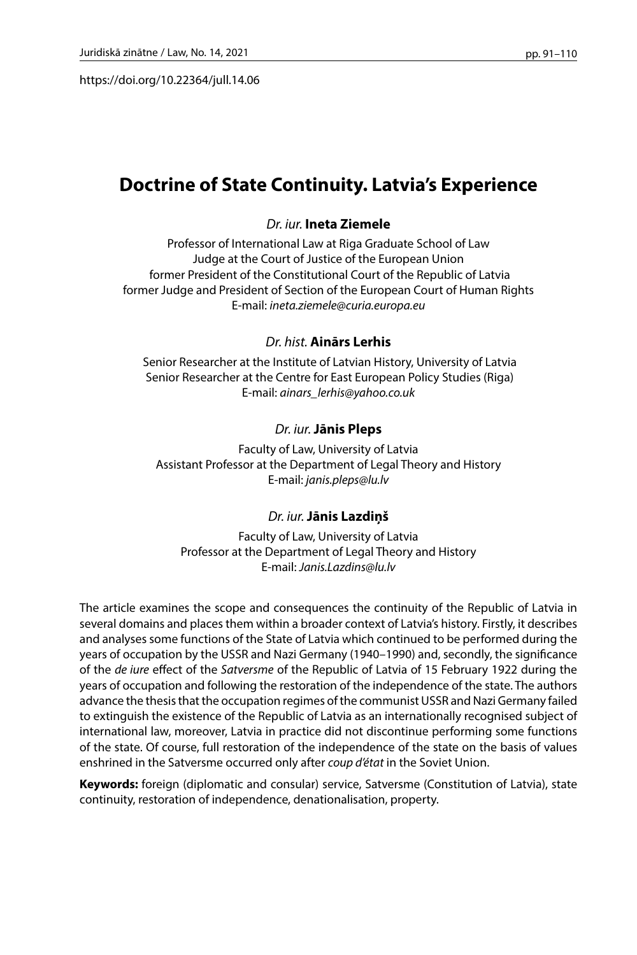https://doi.org/10.22364/jull.14.06

# **Doctrine of State Continuity. Latvia's Experience**

## *Dr. iur.* **Ineta Ziemele**

Professor of International Law at Riga Graduate School of Law Judge at the Court of Justice of the European Union former President of the Constitutional Court of the Republic of Latvia former Judge and President of Section of the European Court of Human Rights E-mail: *ineta.ziemele@curia.europa.eu*

### *Dr. hist.* **Ainārs Lerhis**

 Senior Researcher at the Institute of Latvian History, University of Latvia Senior Researcher at the Centre for East European Policy Studies (Riga) E-mail: *ainars\_lerhis@yahoo.co.uk*

## *Dr. iur.* **Jānis Pleps**

Faculty of Law, University of Latvia Assistant Professor at the Department of Legal Theory and History E-mail: *janis.pleps@lu.lv*

### *Dr. iur.* **Jānis Lazdiņš**

Faculty of Law, University of Latvia Professor at the Department of Legal Theory and History E-mail: *Janis.Lazdins@lu.lv*

The article examines the scope and consequences the continuity of the Republic of Latvia in several domains and places them within a broader context of Latvia's history. Firstly, it describes and analyses some functions of the State of Latvia which continued to be performed during the years of occupation by the USSR and Nazi Germany (1940–1990) and, secondly, the significance of the *de iure* effect of the *Satversme* of the Republic of Latvia of 15 February 1922 during the years of occupation and following the restoration of the independence of the state. The authors advance the thesis that the occupation regimes of the communist USSR and Nazi Germany failed to extinguish the existence of the Republic of Latvia as an internationally recognised subject of international law, moreover, Latvia in practice did not discontinue performing some functions of the state. Of course, full restoration of the independence of the state on the basis of values enshrined in the Satversme occurred only after *coup d'état* in the Soviet Union.

**Keywords:** foreign (diplomatic and consular) service, Satversme (Constitution of Latvia), state continuity, restoration of independence, denationalisation, property.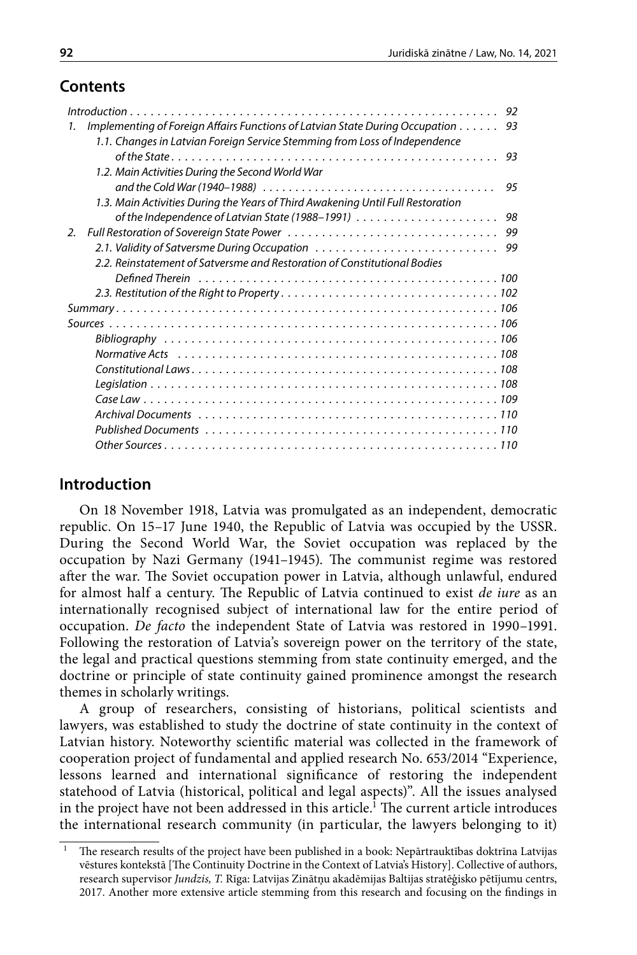## **Contents**

|                                                                                                                           | 92 |
|---------------------------------------------------------------------------------------------------------------------------|----|
| Implementing of Foreign Affairs Functions of Latvian State During Occupation<br>93<br>1.                                  |    |
| 1.1. Changes in Latvian Foreign Service Stemming from Loss of Independence                                                |    |
| 93                                                                                                                        |    |
| 1.2. Main Activities During the Second World War                                                                          |    |
| and the Cold War (1940–1988) $\ldots \ldots \ldots \ldots \ldots \ldots \ldots \ldots \ldots \ldots \ldots \ldots \ldots$ | 95 |
| 1.3. Main Activities During the Years of Third Awakening Until Full Restoration                                           |    |
| of the Independence of Latvian State (1988–1991) $\ldots \ldots \ldots \ldots \ldots \ldots$<br>98                        |    |
| $\mathcal{L}$                                                                                                             |    |
|                                                                                                                           |    |
| 2.2. Reinstatement of Satversme and Restoration of Constitutional Bodies                                                  |    |
| Defined Therein running running running resources and the Defined Therein running resources and the Definition            |    |
|                                                                                                                           |    |
|                                                                                                                           |    |
|                                                                                                                           |    |
|                                                                                                                           |    |
|                                                                                                                           |    |
|                                                                                                                           |    |
|                                                                                                                           |    |
|                                                                                                                           |    |
|                                                                                                                           |    |
|                                                                                                                           |    |
|                                                                                                                           |    |

## **Introduction**

On 18 November 1918, Latvia was promulgated as an independent, democratic republic. On 15–17 June 1940, the Republic of Latvia was occupied by the USSR. During the Second World War, the Soviet occupation was replaced by the occupation by Nazi Germany (1941–1945). The communist regime was restored after the war. The Soviet occupation power in Latvia, although unlawful, endured for almost half a century. The Republic of Latvia continued to exist *de iure* as an internationally recognised subject of international law for the entire period of occupation. *De facto* the independent State of Latvia was restored in 1990–1991. Following the restoration of Latvia's sovereign power on the territory of the state, the legal and practical questions stemming from state continuity emerged, and the doctrine or principle of state continuity gained prominence amongst the research themes in scholarly writings.

A group of researchers, consisting of historians, political scientists and lawyers, was established to study the doctrine of state continuity in the context of Latvian history. Noteworthy scientific material was collected in the framework of cooperation project of fundamental and applied research No. 653/2014 "Experience, lessons learned and international significance of restoring the independent statehood of Latvia (historical, political and legal aspects)". All the issues analysed in the project have not been addressed in this article.<sup>1</sup> The current article introduces the international research community (in particular, the lawyers belonging to it)

<sup>1</sup> The research results of the project have been published in a book: Nepārtrauktības doktrīna Latvijas vēstures kontekstā [The Continuity Doctrine in the Context of Latvia's History]. Collective of authors, research supervisor *Jundzis, T.* Rīga: Latvijas Zinātņu akadēmijas Baltijas stratēģisko pētījumu centrs, 2017. Another more extensive article stemming from this research and focusing on the findings in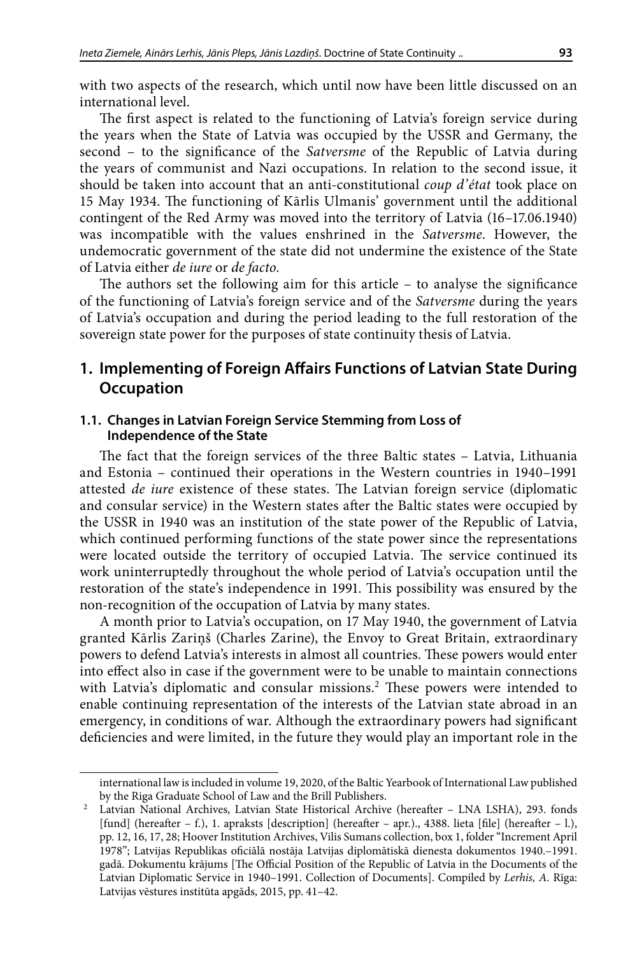with two aspects of the research, which until now have been little discussed on an international level.

The first aspect is related to the functioning of Latvia's foreign service during the years when the State of Latvia was occupied by the USSR and Germany, the second – to the significance of the *Satversme* of the Republic of Latvia during the years of communist and Nazi occupations. In relation to the second issue, it should be taken into account that an anti-constitutional *coup d'état* took place on 15 May 1934. The functioning of Kārlis Ulmanis' government until the additional contingent of the Red Army was moved into the territory of Latvia (16–17.06.1940) was incompatible with the values enshrined in the *Satversme*. However, the undemocratic government of the state did not undermine the existence of the State of Latvia either *de iure* or *de facto*.

The authors set the following aim for this article – to analyse the significance of the functioning of Latvia's foreign service and of the *Satversme* during the years of Latvia's occupation and during the period leading to the full restoration of the sovereign state power for the purposes of state continuity thesis of Latvia.

## **1. Implementing of Foreign Affairs Functions of Latvian State During Occupation**

### **1.1. Changes in Latvian Foreign Service Stemming from Loss of Independence of the State**

The fact that the foreign services of the three Baltic states – Latvia, Lithuania and Estonia – continued their operations in the Western countries in 1940–1991 attested *de iure* existence of these states. The Latvian foreign service (diplomatic and consular service) in the Western states after the Baltic states were occupied by the USSR in 1940 was an institution of the state power of the Republic of Latvia, which continued performing functions of the state power since the representations were located outside the territory of occupied Latvia. The service continued its work uninterruptedly throughout the whole period of Latvia's occupation until the restoration of the state's independence in 1991. This possibility was ensured by the non-recognition of the occupation of Latvia by many states.

A month prior to Latvia's occupation, on 17 May 1940, the government of Latvia granted Kārlis Zariņš (Charles Zarine), the Envoy to Great Britain, extraordinary powers to defend Latvia's interests in almost all countries. These powers would enter into effect also in case if the government were to be unable to maintain connections with Latvia's diplomatic and consular missions.<sup>2</sup> These powers were intended to enable continuing representation of the interests of the Latvian state abroad in an emergency, in conditions of war. Although the extraordinary powers had significant deficiencies and were limited, in the future they would play an important role in the

international law is included in volume 19, 2020, of the Baltic Yearbook of International Law published by the Riga Graduate School of Law and the Brill Publishers.<br>Latvian National Archives, Latvian State Historical Archive (hereafter - LNA LSHA), 293. fonds

<sup>[</sup>fund] (hereafter – f.), 1. apraksts [description] (hereafter – apr.)., 4388. lieta [file] (hereafter – l.), pp. 12, 16, 17, 28; Hoover Institution Archives, Vilis Sumans collection, box 1, folder "Increment April 1978"; Latvijas Republikas oficiālā nostāja Latvijas diplomātiskā dienesta dokumentos 1940.–1991. gadā. Dokumentu krājums [The Official Position of the Republic of Latvia in the Documents of the Latvian Diplomatic Service in 1940–1991. Collection of Documents]. Compiled by *Lerhis, A*. Rīga: Latvijas vēstures institūta apgāds, 2015, pp. 41–42.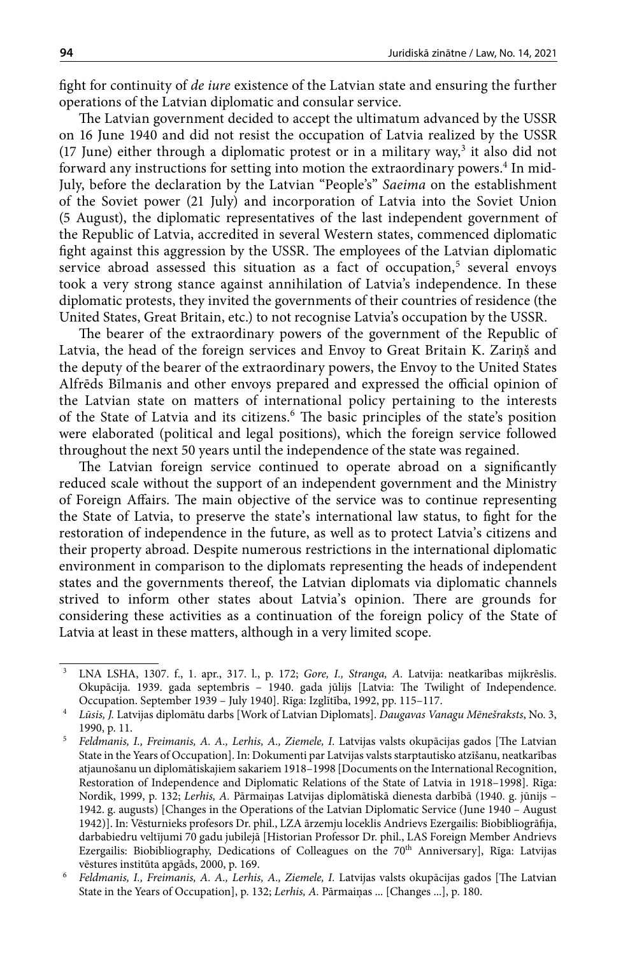fight for continuity of *de iure* existence of the Latvian state and ensuring the further operations of the Latvian diplomatic and consular service.

The Latvian government decided to accept the ultimatum advanced by the USSR on 16 June 1940 and did not resist the occupation of Latvia realized by the USSR  $(17 \text{ June})$  either through a diplomatic protest or in a military way,<sup>3</sup> it also did not forward any instructions for setting into motion the extraordinary powers.<sup>4</sup> In mid-July, before the declaration by the Latvian "People's" *Saeima* on the establishment of the Soviet power (21 July) and incorporation of Latvia into the Soviet Union (5 August), the diplomatic representatives of the last independent government of the Republic of Latvia, accredited in several Western states, commenced diplomatic fight against this aggression by the USSR. The employees of the Latvian diplomatic service abroad assessed this situation as a fact of occupation,<sup>5</sup> several envoys took a very strong stance against annihilation of Latvia's independence. In these diplomatic protests, they invited the governments of their countries of residence (the United States, Great Britain, etc.) to not recognise Latvia's occupation by the USSR.

The bearer of the extraordinary powers of the government of the Republic of Latvia, the head of the foreign services and Envoy to Great Britain K. Zariņš and the deputy of the bearer of the extraordinary powers, the Envoy to the United States Alfrēds Bīlmanis and other envoys prepared and expressed the official opinion of the Latvian state on matters of international policy pertaining to the interests of the State of Latvia and its citizens.<sup>6</sup> The basic principles of the state's position were elaborated (political and legal positions), which the foreign service followed throughout the next 50 years until the independence of the state was regained.

The Latvian foreign service continued to operate abroad on a significantly reduced scale without the support of an independent government and the Ministry of Foreign Affairs. The main objective of the service was to continue representing the State of Latvia, to preserve the state's international law status, to fight for the restoration of independence in the future, as well as to protect Latvia's citizens and their property abroad. Despite numerous restrictions in the international diplomatic environment in comparison to the diplomats representing the heads of independent states and the governments thereof, the Latvian diplomats via diplomatic channels strived to inform other states about Latvia's opinion. There are grounds for considering these activities as a continuation of the foreign policy of the State of Latvia at least in these matters, although in a very limited scope.

<sup>3</sup> LNA LSHA, 1307. f., 1. apr., 317. l., p. 172; *Gore, I., Stranga, A.* Latvija: neatkarības mijkrēslis. Okupācija. 1939. gada septembris – 1940. gada jūlijs [Latvia: The Twilight of Independence. Occupation. September 1939 – July 1940]. Rīga: Izglītība, 1992, pp. 115–117.

<sup>4</sup> *Lūsis, J.* Latvijas diplomātu darbs [Work of Latvian Diplomats]. *Daugavas Vanagu Mēnešraksts*, No. 3, 1990, p. 11.

<sup>5</sup> *Feldmanis, I., Freimanis, A. A., Lerhis, A., Ziemele, I.* Latvijas valsts okupācijas gados [The Latvian State in the Years of Occupation]. In: Dokumenti par Latvijas valsts starptautisko atzīšanu, neatkarības atjaunošanu un diplomātiskajiem sakariem 1918–1998 [Documents on the International Recognition, Restoration of Independence and Diplomatic Relations of the State of Latvia in 1918–1998]. Rīga: Nordik, 1999, p. 132; *Lerhis, A.* Pārmaiņas Latvijas diplomātiskā dienesta darbībā (1940. g. jūnijs – 1942. g. augusts) [Changes in the Operations of the Latvian Diplomatic Service (June 1940 – August 1942)]. In: Vēsturnieks profesors Dr. phil., LZA ārzemju loceklis Andrievs Ezergailis: Biobibliogrāfija, darbabiedru veltījumi 70 gadu jubilejā [Historian Professor Dr. phil., LAS Foreign Member Andrievs Ezergailis: Biobibliography, Dedications of Colleagues on the 70<sup>th</sup> Anniversary], Rīga: Latvijas vēstures institūta apgāds, 2000, p. 169.

<sup>6</sup> *Feldmanis, I., Freimanis, A. A., Lerhis, A., Ziemele, I.* Latvijas valsts okupācijas gados [The Latvian State in the Years of Occupation], p. 132; *Lerhis, A.* Pārmaiņas ... [Changes ...], p. 180.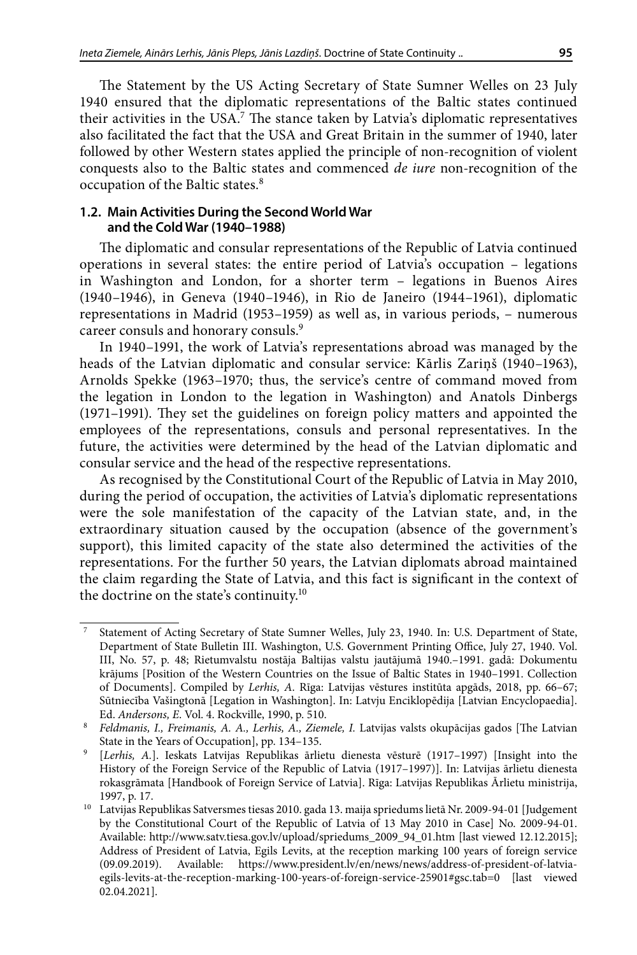The Statement by the US Acting Secretary of State Sumner Welles on 23 July 1940 ensured that the diplomatic representations of the Baltic states continued their activities in the USA.7 The stance taken by Latvia's diplomatic representatives also facilitated the fact that the USA and Great Britain in the summer of 1940, later followed by other Western states applied the principle of non-recognition of violent conquests also to the Baltic states and commenced *de iure* non-recognition of the occupation of the Baltic states.8

### **1.2. Main Activities During the Second World War and the Cold War (1940–1988)**

The diplomatic and consular representations of the Republic of Latvia continued operations in several states: the entire period of Latvia's occupation – legations in Washington and London, for a shorter term – legations in Buenos Aires (1940–1946), in Geneva (1940–1946), in Rio de Janeiro (1944–1961), diplomatic representations in Madrid (1953–1959) as well as, in various periods, – numerous career consuls and honorary consuls.<sup>9</sup>

In 1940–1991, the work of Latvia's representations abroad was managed by the heads of the Latvian diplomatic and consular service: Kārlis Zariņš (1940–1963), Arnolds Spekke (1963–1970; thus, the service's centre of command moved from the legation in London to the legation in Washington) and Anatols Dinbergs (1971–1991). They set the guidelines on foreign policy matters and appointed the employees of the representations, consuls and personal representatives. In the future, the activities were determined by the head of the Latvian diplomatic and consular service and the head of the respective representations.

As recognised by the Constitutional Court of the Republic of Latvia in May 2010, during the period of occupation, the activities of Latvia's diplomatic representations were the sole manifestation of the capacity of the Latvian state, and, in the extraordinary situation caused by the occupation (absence of the government's support), this limited capacity of the state also determined the activities of the representations. For the further 50 years, the Latvian diplomats abroad maintained the claim regarding the State of Latvia, and this fact is significant in the context of the doctrine on the state's continuity.10

<sup>7</sup> Statement of Acting Secretary of State Sumner Welles, July 23, 1940. In: U.S. Department of State, Department of State Bulletin III. Washington, U.S. Government Printing Office, July 27, 1940. Vol. III, No. 57, p. 48; Rietumvalstu nostāja Baltijas valstu jautājumā 1940.–1991. gadā: Dokumentu krājums [Position of the Western Countries on the Issue of Baltic States in 1940–1991. Collection of Documents]. Compiled by *Lerhis, A*. Rīga: Latvijas vēstures institūta apgāds, 2018, pp. 66–67; Sūtniecība Vašingtonā [Legation in Washington]. In: Latvju Enciklopēdija [Latvian Encyclopaedia]. Ed. *Andersons, E*. Vol. 4. Rockville, 1990, p. 510.

<sup>&</sup>lt;sup>8</sup> Feldmanis, I., Freimanis, A. A., Lerhis, A., Ziemele, I. Latvijas valsts okupācijas gados [The Latvian State in the Years of Occupation], pp. 134–135.

<sup>9</sup> [*Lerhis, A.*]. Ieskats Latvijas Republikas ārlietu dienesta vēsturē (1917–1997) [Insight into the History of the Foreign Service of the Republic of Latvia (1917–1997)]. In: Latvijas ārlietu dienesta rokasgrāmata [Handbook of Foreign Service of Latvia]. Rīga: Latvijas Republikas Ārlietu ministrija, 1997, p. 17.

<sup>10</sup> Latvijas Republikas Satversmes tiesas 2010. gada 13. maija spriedums lietā Nr. 2009-94-01 [Judgement by the Constitutional Court of the Republic of Latvia of 13 May 2010 in Case] No. 2009-94-01. Available: [http://www.satv.tiesa.gov.lv/upload/spriedums\\_2009\\_94\\_01.htm](http://www.satv.tiesa.gov.lv/upload/spriedums_2009_94_01.htm) [last viewed 12.12.2015]; Address of President of Latvia, Egils Levits, at the reception marking 100 years of foreign service (09.09.2019). Available: https://www.president.lv/en/news/news/address-of-president-of-latviaegils-levits-at-the-reception-marking-100-years-of-foreign-service-25901#gsc.tab=0 [last viewed 02.04.2021].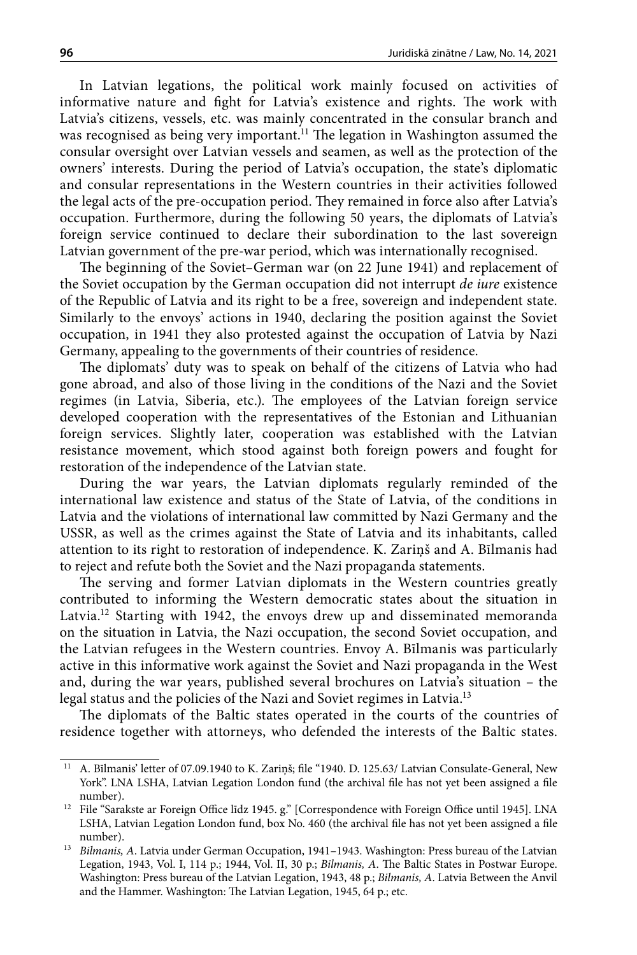In Latvian legations, the political work mainly focused on activities of informative nature and fight for Latvia's existence and rights. The work with Latvia's citizens, vessels, etc. was mainly concentrated in the consular branch and was recognised as being very important.<sup>11</sup> The legation in Washington assumed the consular oversight over Latvian vessels and seamen, as well as the protection of the owners' interests. During the period of Latvia's occupation, the state's diplomatic and consular representations in the Western countries in their activities followed the legal acts of the pre-occupation period. They remained in force also after Latvia's occupation. Furthermore, during the following 50 years, the diplomats of Latvia's foreign service continued to declare their subordination to the last sovereign Latvian government of the pre-war period, which was internationally recognised.

The beginning of the Soviet–German war (on 22 June 1941) and replacement of the Soviet occupation by the German occupation did not interrupt *de iure* existence of the Republic of Latvia and its right to be a free, sovereign and independent state. Similarly to the envoys' actions in 1940, declaring the position against the Soviet occupation, in 1941 they also protested against the occupation of Latvia by Nazi Germany, appealing to the governments of their countries of residence.

The diplomats' duty was to speak on behalf of the citizens of Latvia who had gone abroad, and also of those living in the conditions of the Nazi and the Soviet regimes (in Latvia, Siberia, etc.). The employees of the Latvian foreign service developed cooperation with the representatives of the Estonian and Lithuanian foreign services. Slightly later, cooperation was established with the Latvian resistance movement, which stood against both foreign powers and fought for restoration of the independence of the Latvian state.

During the war years, the Latvian diplomats regularly reminded of the international law existence and status of the State of Latvia, of the conditions in Latvia and the violations of international law committed by Nazi Germany and the USSR, as well as the crimes against the State of Latvia and its inhabitants, called attention to its right to restoration of independence. K. Zariņš and A. Bīlmanis had to reject and refute both the Soviet and the Nazi propaganda statements.

The serving and former Latvian diplomats in the Western countries greatly contributed to informing the Western democratic states about the situation in Latvia.<sup>12</sup> Starting with 1942, the envoys drew up and disseminated memoranda on the situation in Latvia, the Nazi occupation, the second Soviet occupation, and the Latvian refugees in the Western countries. Envoy A. Bīlmanis was particularly active in this informative work against the Soviet and Nazi propaganda in the West and, during the war years, published several brochures on Latvia's situation – the legal status and the policies of the Nazi and Soviet regimes in Latvia.<sup>13</sup>

The diplomats of the Baltic states operated in the courts of the countries of residence together with attorneys, who defended the interests of the Baltic states.

<sup>11</sup> A. Bīlmanis' letter of 07.09.1940 to K. Zariņš; file "1940. D. 125.63/ Latvian Consulate-General, New York". LNA LSHA, Latvian Legation London fund (the archival file has not yet been assigned a file number).

<sup>12</sup> File "Sarakste ar Foreign Office līdz 1945. g." [Correspondence with Foreign Office until 1945]. LNA LSHA, Latvian Legation London fund, box No. 460 (the archival file has not yet been assigned a file number).

<sup>13</sup> *Bilmanis, A*. Latvia under German Occupation, 1941–1943. Washington: Press bureau of the Latvian Legation, 1943, Vol. I, 114 p.; 1944, Vol. II, 30 p.; *Bilmanis, A*. The Baltic States in Postwar Europe. Washington: Press bureau of the Latvian Legation, 1943, 48 p.; *Bilmanis, A*. Latvia Between the Anvil and the Hammer. Washington: The Latvian Legation, 1945, 64 p.; etc.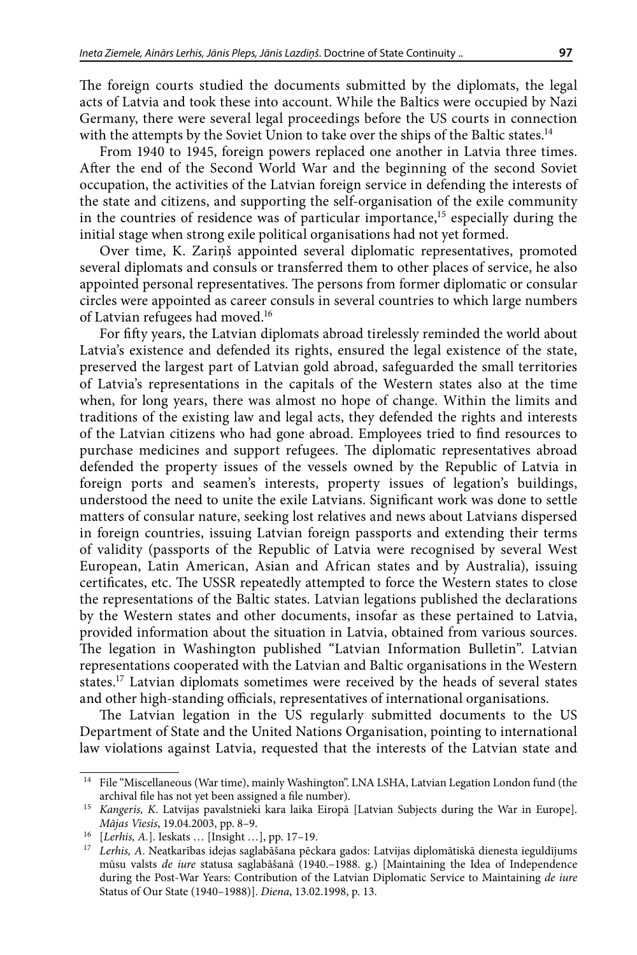The foreign courts studied the documents submitted by the diplomats, the legal acts of Latvia and took these into account. While the Baltics were occupied by Nazi Germany, there were several legal proceedings before the US courts in connection with the attempts by the Soviet Union to take over the ships of the Baltic states.<sup>14</sup>

From 1940 to 1945, foreign powers replaced one another in Latvia three times. After the end of the Second World War and the beginning of the second Soviet occupation, the activities of the Latvian foreign service in defending the interests of the state and citizens, and supporting the self-organisation of the exile community in the countries of residence was of particular importance,<sup>15</sup> especially during the initial stage when strong exile political organisations had not yet formed.

Over time, K. Zariņš appointed several diplomatic representatives, promoted several diplomats and consuls or transferred them to other places of service, he also appointed personal representatives. The persons from former diplomatic or consular circles were appointed as career consuls in several countries to which large numbers of Latvian refugees had moved.<sup>16</sup>

For fifty years, the Latvian diplomats abroad tirelessly reminded the world about Latvia's existence and defended its rights, ensured the legal existence of the state, preserved the largest part of Latvian gold abroad, safeguarded the small territories of Latvia's representations in the capitals of the Western states also at the time when, for long years, there was almost no hope of change. Within the limits and traditions of the existing law and legal acts, they defended the rights and interests of the Latvian citizens who had gone abroad. Employees tried to find resources to purchase medicines and support refugees. The diplomatic representatives abroad defended the property issues of the vessels owned by the Republic of Latvia in foreign ports and seamen's interests, property issues of legation's buildings, understood the need to unite the exile Latvians. Significant work was done to settle matters of consular nature, seeking lost relatives and news about Latvians dispersed in foreign countries, issuing Latvian foreign passports and extending their terms of validity (passports of the Republic of Latvia were recognised by several West European, Latin American, Asian and African states and by Australia), issuing certificates, etc. The USSR repeatedly attempted to force the Western states to close the representations of the Baltic states. Latvian legations published the declarations by the Western states and other documents, insofar as these pertained to Latvia, provided information about the situation in Latvia, obtained from various sources. The legation in Washington published "Latvian Information Bulletin". Latvian representations cooperated with the Latvian and Baltic organisations in the Western states.17 Latvian diplomats sometimes were received by the heads of several states and other high-standing officials, representatives of international organisations.

The Latvian legation in the US regularly submitted documents to the US Department of State and the United Nations Organisation, pointing to international law violations against Latvia, requested that the interests of the Latvian state and

 $^{\rm 14}~$  File "Miscellaneous (War time), mainly Washington". LNA LSHA, Latvian Legation London fund (the archival file has not yet been assigned a file number).

<sup>15</sup> *Kangeris, K*. Latvijas pavalstnieki kara laika Eiropā [Latvian Subjects during the War in Europe]. *Mājas Viesis*, 19.04.2003, pp. 8–9.

<sup>16</sup> [*Lerhis, A.*]. Ieskats … [Insight …], pp. 17–19.

<sup>17</sup> *Lerhis, A*. Neatkarības idejas saglabāšana pēckara gados: Latvijas diplomātiskā dienesta ieguldījums mūsu valsts *de iure* statusa saglabāšanā (1940.–1988. g.) [Maintaining the Idea of Independence during the Post-War Years: Contribution of the Latvian Diplomatic Service to Maintaining *de iure* Status of Our State (1940–1988)]. *Diena*, 13.02.1998, p. 13.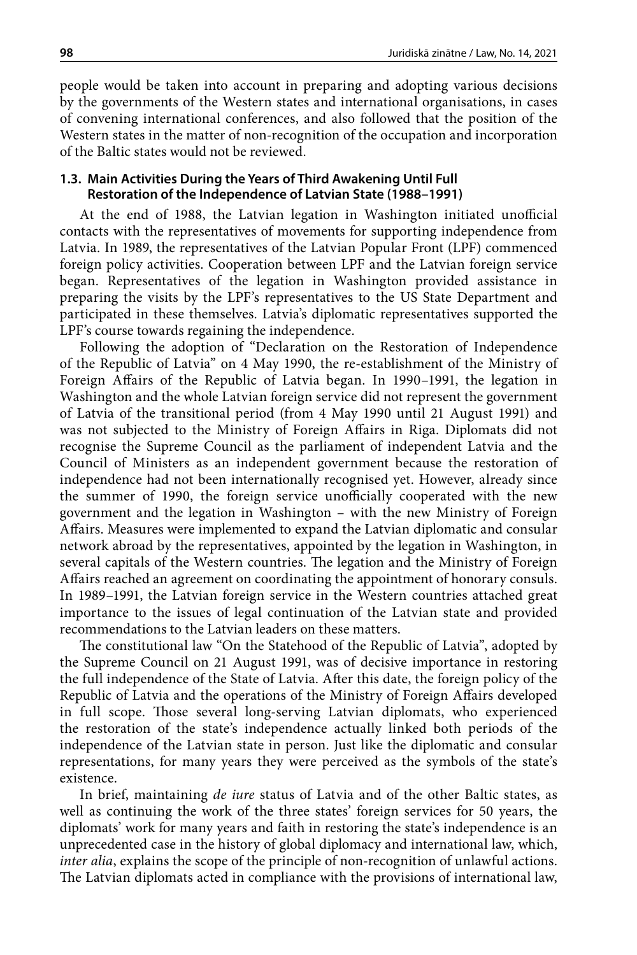people would be taken into account in preparing and adopting various decisions by the governments of the Western states and international organisations, in cases of convening international conferences, and also followed that the position of the Western states in the matter of non-recognition of the occupation and incorporation of the Baltic states would not be reviewed.

#### **1.3. Main Activities During the Years of Third Awakening Until Full Restoration of the Independence of Latvian State (1988–1991)**

At the end of 1988, the Latvian legation in Washington initiated unofficial contacts with the representatives of movements for supporting independence from Latvia. In 1989, the representatives of the Latvian Popular Front (LPF) commenced foreign policy activities. Cooperation between LPF and the Latvian foreign service began. Representatives of the legation in Washington provided assistance in preparing the visits by the LPF's representatives to the US State Department and participated in these themselves. Latvia's diplomatic representatives supported the LPF's course towards regaining the independence.

Following the adoption of "Declaration on the Restoration of Independence of the Republic of Latvia" on 4 May 1990, the re-establishment of the Ministry of Foreign Affairs of the Republic of Latvia began. In 1990–1991, the legation in Washington and the whole Latvian foreign service did not represent the government of Latvia of the transitional period (from 4 May 1990 until 21 August 1991) and was not subjected to the Ministry of Foreign Affairs in Riga. Diplomats did not recognise the Supreme Council as the parliament of independent Latvia and the Council of Ministers as an independent government because the restoration of independence had not been internationally recognised yet. However, already since the summer of 1990, the foreign service unofficially cooperated with the new government and the legation in Washington – with the new Ministry of Foreign Affairs. Measures were implemented to expand the Latvian diplomatic and consular network abroad by the representatives, appointed by the legation in Washington, in several capitals of the Western countries. The legation and the Ministry of Foreign Affairs reached an agreement on coordinating the appointment of honorary consuls. In 1989–1991, the Latvian foreign service in the Western countries attached great importance to the issues of legal continuation of the Latvian state and provided recommendations to the Latvian leaders on these matters.

The constitutional law "On the Statehood of the Republic of Latvia", adopted by the Supreme Council on 21 August 1991, was of decisive importance in restoring the full independence of the State of Latvia. After this date, the foreign policy of the Republic of Latvia and the operations of the Ministry of Foreign Affairs developed in full scope. Those several long-serving Latvian diplomats, who experienced the restoration of the state's independence actually linked both periods of the independence of the Latvian state in person. Just like the diplomatic and consular representations, for many years they were perceived as the symbols of the state's existence.

In brief, maintaining *de iure* status of Latvia and of the other Baltic states, as well as continuing the work of the three states' foreign services for 50 years, the diplomats' work for many years and faith in restoring the state's independence is an unprecedented case in the history of global diplomacy and international law, which, *inter alia*, explains the scope of the principle of non-recognition of unlawful actions. The Latvian diplomats acted in compliance with the provisions of international law,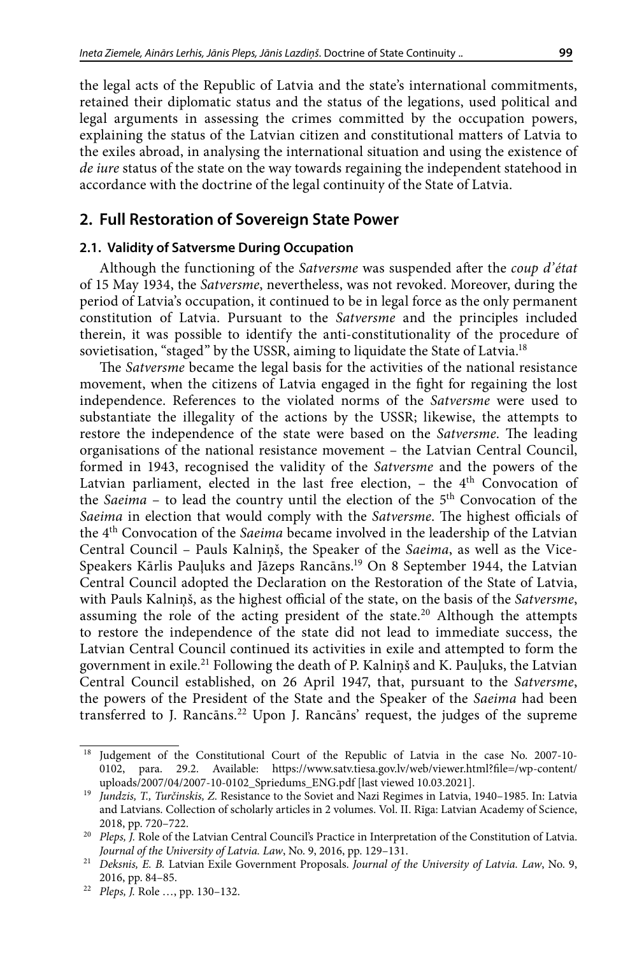the legal acts of the Republic of Latvia and the state's international commitments, retained their diplomatic status and the status of the legations, used political and legal arguments in assessing the crimes committed by the occupation powers, explaining the status of the Latvian citizen and constitutional matters of Latvia to the exiles abroad, in analysing the international situation and using the existence of *de iure* status of the state on the way towards regaining the independent statehood in accordance with the doctrine of the legal continuity of the State of Latvia.

## **2. Full Restoration of Sovereign State Power**

### **2.1. Validity of Satversme During Occupation**

Although the functioning of the *Satversme* was suspended after the *coup d'état* of 15 May 1934, the *Satversme*, nevertheless, was not revoked. Moreover, during the period of Latvia's occupation, it continued to be in legal force as the only permanent constitution of Latvia. Pursuant to the *Satversme* and the principles included therein, it was possible to identify the anti-constitutionality of the procedure of sovietisation, "staged" by the USSR, aiming to liquidate the State of Latvia.<sup>18</sup>

The *Satversme* became the legal basis for the activities of the national resistance movement, when the citizens of Latvia engaged in the fight for regaining the lost independence. References to the violated norms of the *Satversme* were used to substantiate the illegality of the actions by the USSR; likewise, the attempts to restore the independence of the state were based on the *Satversme*. The leading organisations of the national resistance movement – the Latvian Central Council, formed in 1943, recognised the validity of the *Satversme* and the powers of the Latvian parliament, elected in the last free election,  $-$  the  $4<sup>th</sup>$  Convocation of the *Saeima* – to lead the country until the election of the 5<sup>th</sup> Convocation of the *Saeima* in election that would comply with the *Satversme*. The highest officials of the 4th Convocation of the *Saeima* became involved in the leadership of the Latvian Central Council – Pauls Kalniņš, the Speaker of the *Saeima*, as well as the Vice-Speakers Kārlis Pauļuks and Jāzeps Rancāns.19 On 8 September 1944, the Latvian Central Council adopted the Declaration on the Restoration of the State of Latvia, with Pauls Kalniņš, as the highest official of the state, on the basis of the *Satversme*, assuming the role of the acting president of the state.<sup>20</sup> Although the attempts to restore the independence of the state did not lead to immediate success, the Latvian Central Council continued its activities in exile and attempted to form the government in exile.21 Following the death of P. Kalniņš and K. Pauļuks, the Latvian Central Council established, on 26 April 1947, that, pursuant to the *Satversme*, the powers of the President of the State and the Speaker of the *Saeima* had been transferred to J. Rancāns.<sup>22</sup> Upon J. Rancāns' request, the judges of the supreme

<sup>&</sup>lt;sup>18</sup> Judgement of the Constitutional Court of the Republic of Latvia in the case No. 2007-10-0102, para. 29.2. Available: [https://www.satv.tiesa.gov.lv/web/viewer.html?file=/wp-content/](https://www.satv.tiesa.gov.lv/web/viewer.html?file=/wp-content/uploads/2007/04/2007-10-0102_Spriedums_ENG.pdf) [uploads/2007/04/2007-10-0102\\_Spriedums\\_ENG.pdf](https://www.satv.tiesa.gov.lv/web/viewer.html?file=/wp-content/uploads/2007/04/2007-10-0102_Spriedums_ENG.pdf) [last viewed 10.03.2021].

<sup>19</sup> *Jundzis, T., Turčinskis, Z.* Resistance to the Soviet and Nazi Regimes in Latvia, 1940–1985. In: Latvia and Latvians. Collection of scholarly articles in 2 volumes. Vol. II. Rīga: Latvian Academy of Science, 2018, pp. 720–722.

<sup>&</sup>lt;sup>20</sup> *Pleps*, *J*. Role of the Latvian Central Council's Practice in Interpretation of the Constitution of Latvia. *Journal of the University of Latvia. Law*, No. 9, 2016, pp. 129–131.

<sup>21</sup> *Deksnis, E. B.* Latvian Exile Government Proposals. *Journal of the University of Latvia. Law*, No. 9, 2016, pp. 84–85.

<sup>22</sup> *Pleps, J.* Role …, pp. 130–132.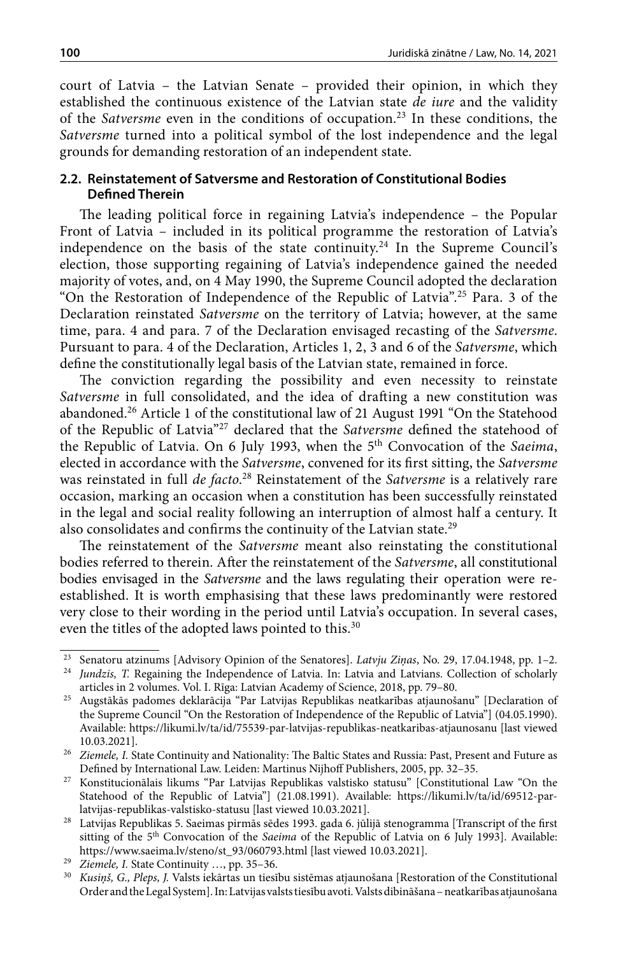court of Latvia – the Latvian Senate – provided their opinion, in which they established the continuous existence of the Latvian state *de iure* and the validity of the *Satversme* even in the conditions of occupation.23 In these conditions, the *Satversme* turned into a political symbol of the lost independence and the legal grounds for demanding restoration of an independent state.

## **2.2. Reinstatement of Satversme and Restoration of Constitutional Bodies Defined Therein**

The leading political force in regaining Latvia's independence – the Popular Front of Latvia - included in its political programme the restoration of Latvia's independence on the basis of the state continuity.<sup>24</sup> In the Supreme Council's election, those supporting regaining of Latvia's independence gained the needed majority of votes, and, on 4 May 1990, the Supreme Council adopted the declaration "On the Restoration of Independence of the Republic of Latvia".25 Para. 3 of the Declaration reinstated *Satversme* on the territory of Latvia; however, at the same time, para. 4 and para. 7 of the Declaration envisaged recasting of the *Satversme*. Pursuant to para. 4 of the Declaration, Articles 1, 2, 3 and 6 of the *Satversme*, which define the constitutionally legal basis of the Latvian state, remained in force.

The conviction regarding the possibility and even necessity to reinstate *Satversme* in full consolidated, and the idea of drafting a new constitution was abandoned.26 Article 1 of the constitutional law of 21 August 1991 "On the Statehood of the Republic of Latvia"27 declared that the *Satversme* defined the statehood of the Republic of Latvia. On 6 July 1993, when the 5th Convocation of the *Saeima*, elected in accordance with the *Satversme*, convened for its first sitting, the *Satversme* was reinstated in full *de facto*. 28 Reinstatement of the *Satversme* is a relatively rare occasion, marking an occasion when a constitution has been successfully reinstated in the legal and social reality following an interruption of almost half a century. It also consolidates and confirms the continuity of the Latvian state.29

The reinstatement of the *Satversme* meant also reinstating the constitutional bodies referred to therein. After the reinstatement of the *Satversme*, all constitutional bodies envisaged in the *Satversme* and the laws regulating their operation were reestablished. It is worth emphasising that these laws predominantly were restored very close to their wording in the period until Latvia's occupation. In several cases, even the titles of the adopted laws pointed to this.<sup>30</sup>

<sup>23</sup> Senatoru atzinums [Advisory Opinion of the Senatores]. *Latvju Ziņas*, No. 29, 17.04.1948, pp. 1–2. 24 *Jundzis, T.* Regaining the Independence of Latvia. In: Latvia and Latvians. Collection of scholarly

articles in 2 volumes. Vol. I. Rīga: Latvian Academy of Science, 2018, pp. 79–80. 25 Augstākās padomes deklarācija "Par Latvijas Republikas neatkarības atjaunošanu" [Declaration of the Supreme Council "On the Restoration of Independence of the Republic of Latvia"] (04.05.1990). Available: https://likumi.lv/ta/id/75539-par-latvijas-republikas-neatkaribas-atjaunosanu [last viewed 10.03.2021].

<sup>&</sup>lt;sup>26</sup> *Ziemele, I.* State Continuity and Nationality: The Baltic States and Russia: Past, Present and Future as Defined by International Law. Leiden: Martinus Nijhoff Publishers, 2005, pp. 32–35.

<sup>27</sup> Konstitucionālais likums "Par Latvijas Republikas valstisko statusu" [Constitutional Law "On the Statehood of the Republic of Latvia"] (21.08.1991). Available: [https://likumi.lv/ta/id/69512-par-](https://likumi.lv/ta/id/69512-par-latvijas-republikas-valstisko-statusu)

[latvijas-republikas-valstisko-statusu](https://likumi.lv/ta/id/69512-par-latvijas-republikas-valstisko-statusu) [last viewed 10.03.2021].<br><sup>28</sup> Latvijas Republikas 5. Saeimas pirmās sēdes 1993. gada 6. jūlijā stenogramma [Transcript of the first sitting of the 5th Convocation of the *Saeima* of the Republic of Latvia on 6 July 1993]. Available: [https://www.saeima.lv/steno/st\\_93/060793.html](https://www.saeima.lv/steno/st_93/060793.html) [last viewed 10.03.2021]. 29 *Ziemele, I.* State Continuity …, pp. 35–36.

<sup>30</sup> *Kusiņš, G., Pleps, J.* Valsts iekārtas un tiesību sistēmas atjaunošana [Restoration of the Constitutional Order and the Legal System]. In: Latvijas valsts tiesību avoti. Valsts dibināšana – neatkarības atjaunošana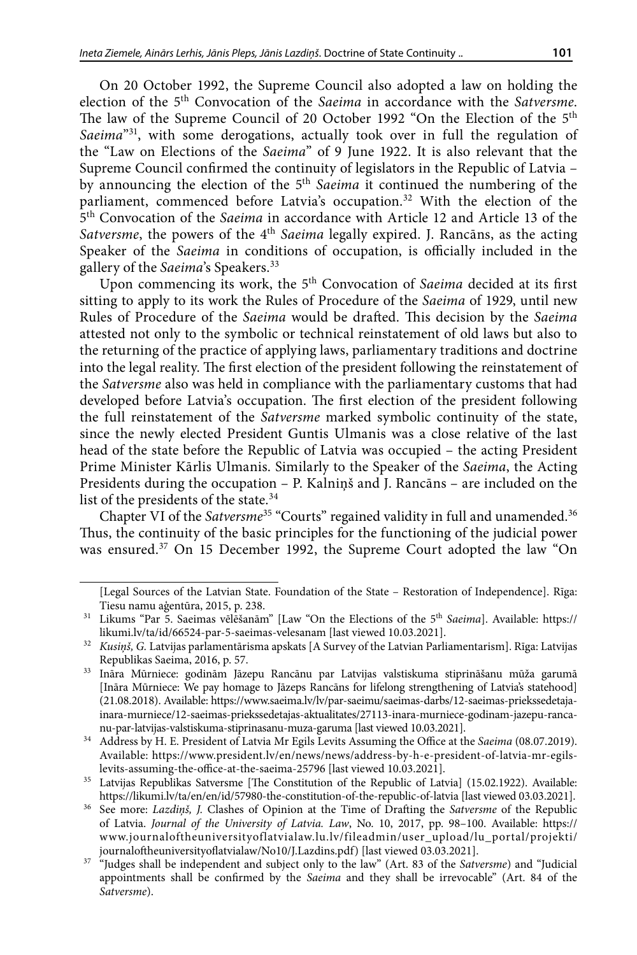On 20 October 1992, the Supreme Council also adopted a law on holding the election of the 5th Convocation of the *Saeima* in accordance with the *Satversme*. The law of the Supreme Council of 20 October 1992 "On the Election of the 5th *Saeima*"31, with some derogations, actually took over in full the regulation of the "Law on Elections of the *Saeima*" of 9 June 1922. It is also relevant that the Supreme Council confirmed the continuity of legislators in the Republic of Latvia – by announcing the election of the 5th *Saeima* it continued the numbering of the parliament, commenced before Latvia's occupation.<sup>32</sup> With the election of the 5th Convocation of the *Saeima* in accordance with Article 12 and Article 13 of the *Satversme*, the powers of the 4<sup>th</sup> *Saeima* legally expired. J. Rancāns, as the acting Speaker of the *Saeima* in conditions of occupation, is officially included in the gallery of the *Saeima*'s Speakers.33

Upon commencing its work, the 5<sup>th</sup> Convocation of *Saeima* decided at its first sitting to apply to its work the Rules of Procedure of the *Saeima* of 1929, until new Rules of Procedure of the *Saeima* would be drafted. This decision by the *Saeima*  attested not only to the symbolic or technical reinstatement of old laws but also to the returning of the practice of applying laws, parliamentary traditions and doctrine into the legal reality. The first election of the president following the reinstatement of the *Satversme* also was held in compliance with the parliamentary customs that had developed before Latvia's occupation. The first election of the president following the full reinstatement of the *Satversme* marked symbolic continuity of the state, since the newly elected President Guntis Ulmanis was a close relative of the last head of the state before the Republic of Latvia was occupied – the acting President Prime Minister Kārlis Ulmanis. Similarly to the Speaker of the *Saeima*, the Acting Presidents during the occupation – P. Kalniņš and J. Rancāns – are included on the list of the presidents of the state. $34$ 

Chapter VI of the *Satversme*35 "Courts" regained validity in full and unamended.36 Thus, the continuity of the basic principles for the functioning of the judicial power was ensured.37 On 15 December 1992, the Supreme Court adopted the law "On

<sup>[</sup>Legal Sources of the Latvian State. Foundation of the State – Restoration of Independence]. Rīga: Tiesu namu aģentūra, 2015, p. 238.

<sup>31</sup> Likums "Par 5. Saeimas vēlēšanām" [Law "On the Elections of the 5th *Saeima*]. Available: [https://](https://likumi.lv/ta/id/66524-par-5-saeimas-velesanam) [likumi.lv/ta/id/66524-par-5-saeimas-velesanam](https://likumi.lv/ta/id/66524-par-5-saeimas-velesanam) [last viewed 10.03.2021]. 32 *Kusiņš, G.* Latvijas parlamentārisma apskats [A Survey of the Latvian Parliamentarism]. Rīga: Latvijas

Republikas Saeima, 2016, p. 57.

<sup>33</sup> Ināra Mūrniece: godinām Jāzepu Rancānu par Latvijas valstiskuma stiprināšanu mūža garumā [Ināra Mūrniece: We pay homage to Jāzeps Rancāns for lifelong strengthening of Latvia's statehood] (21.08.2018). Available: [https://www.saeima.lv/lv/par-saeimu/saeimas-darbs/12-saeimas-priekssedetaja](https://www.saeima.lv/lv/par-saeimu/saeimas-darbs/12-saeimas-priekssedetaja-inara-murniece/12-saeimas-priekssedetajas-aktualitates/27113-inara-murniece-godinam-jazepu-rancanu-par-latvijas-valstiskuma-stiprinasanu-muza-garuma?phrase=rancānu)[inara-murniece/12-saeimas-priekssedetajas-aktualitates/27113-inara-murniece-godinam-jazepu-ranca](https://www.saeima.lv/lv/par-saeimu/saeimas-darbs/12-saeimas-priekssedetaja-inara-murniece/12-saeimas-priekssedetajas-aktualitates/27113-inara-murniece-godinam-jazepu-rancanu-par-latvijas-valstiskuma-stiprinasanu-muza-garuma?phrase=rancānu)[nu-par-latvijas-valstiskuma-stiprinasanu-muza-garuma](https://www.saeima.lv/lv/par-saeimu/saeimas-darbs/12-saeimas-priekssedetaja-inara-murniece/12-saeimas-priekssedetajas-aktualitates/27113-inara-murniece-godinam-jazepu-rancanu-par-latvijas-valstiskuma-stiprinasanu-muza-garuma?phrase=rancānu) [last viewed 10.03.2021].

<sup>34</sup> Address by H. E. President of Latvia Mr Egils Levits Assuming the Office at the *Saeima* (08.07.2019). Available: https://www.president.lv/en/news/news/address-by-h-e-president-of-latvia-mr-egilslevits-assuming-the-office-at-the-saeima-25796 [last viewed 10.03.2021].

<sup>&</sup>lt;sup>35</sup> Latvijas Republikas Satversme [The Constitution of the Republic of Latvia] (15.02.1922). Available: <https://likumi.lv/ta/en/en/id/57980-the-constitution-of-the-republic-of-latvia> [last viewed 03.03.2021].

<sup>36</sup> See more: *Lazdiņš, J.* Clashes of Opinion at the Time of Drafting the *Satversme* of the Republic of Latvia. *Journal of the University of Latvia. Law*, No. 10, 2017, pp. 98–100. Available: [https://](https://www.journaloftheuniversityoflatvialaw.lu.lv/fileadmin/user_upload/lu_portal/projekti/journaloftheuniversityoflatvialaw/No10/J.Lazdins.pdf) [www.journaloftheuniversityoflatvialaw.lu.lv/fileadmin/user\\_upload/lu\\_portal/projekti/](https://www.journaloftheuniversityoflatvialaw.lu.lv/fileadmin/user_upload/lu_portal/projekti/journaloftheuniversityoflatvialaw/No10/J.Lazdins.pdf) [journaloftheuniversityoflatvialaw/No10/J.Lazdins.pdf](https://www.journaloftheuniversityoflatvialaw.lu.lv/fileadmin/user_upload/lu_portal/projekti/journaloftheuniversityoflatvialaw/No10/J.Lazdins.pdf)) [last viewed 03.03.2021].

<sup>&</sup>lt;sup>37</sup> "Judges shall be independent and subject only to the law" (Art. 83 of the *Satversme*) and "Judicial appointments shall be confirmed by the *Saeima* and they shall be irrevocable" (Art. 84 of the *Satversme*).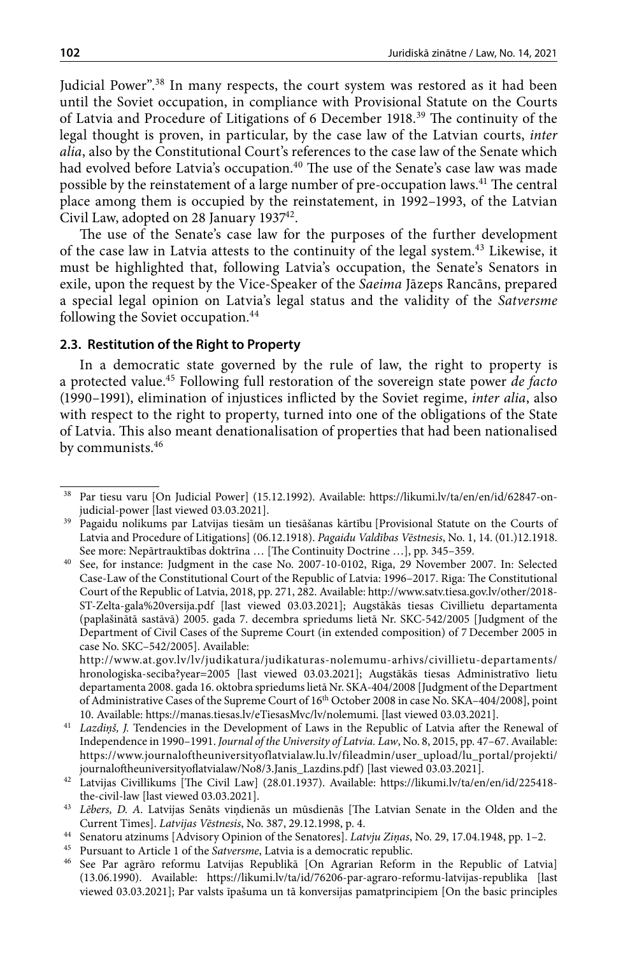Judicial Power".38 In many respects, the court system was restored as it had been until the Soviet occupation, in compliance with Provisional Statute on the Courts of Latvia and Procedure of Litigations of 6 December 1918.39 The continuity of the legal thought is proven, in particular, by the case law of the Latvian courts, *inter alia*, also by the Constitutional Court's references to the case law of the Senate which had evolved before Latvia's occupation.<sup>40</sup> The use of the Senate's case law was made possible by the reinstatement of a large number of pre-occupation laws.<sup>41</sup> The central place among them is occupied by the reinstatement, in 1992–1993, of the Latvian Civil Law, adopted on 28 January 193742.

The use of the Senate's case law for the purposes of the further development of the case law in Latvia attests to the continuity of the legal system.43 Likewise, it must be highlighted that, following Latvia's occupation, the Senate's Senators in exile, upon the request by the Vice-Speaker of the *Saeima* Jāzeps Rancāns, prepared a special legal opinion on Latvia's legal status and the validity of the *Satversme* following the Soviet occupation.<sup>44</sup>

#### **2.3. Restitution of the Right to Property**

In a democratic state governed by the rule of law, the right to property is a protected value.45 Following full restoration of the sovereign state power *de facto* (1990–1991), elimination of injustices inflicted by the Soviet regime, *inter alia*, also with respect to the right to property, turned into one of the obligations of the State of Latvia. This also meant denationalisation of properties that had been nationalised by communists.46

Par tiesu varu [On Judicial Power] (15.12.1992). Available: https://likumi.lv/ta/en/en/id/62847-on-judicial-power [last viewed 03.03.2021].

<sup>&</sup>lt;sup>39</sup> Pagaidu nolikums par Latvijas tiesām un tiesāšanas kārtību [Provisional Statute on the Courts of Latvia and Procedure of Litigations] (06.12.1918). *Pagaidu Valdības Vēstnesis*, No. 1, 14. (01.)12.1918. See more: Nepārtrauktības doktrīna … [The Continuity Doctrine …], pp. 345–359.

<sup>40</sup> See, for instance: Judgment in the case No. 2007-10-0102, Riga, 29 November 2007. In: Selected Case-Law of the Constitutional Court of the Republic of Latvia: 1996–2017. Riga: The Constitutional Court of the Republic of Latvia, 2018, pp. 271, 282. Available: [http://www.satv.tiesa.gov.lv/other/2018-](http://www.satv.tiesa.gov.lv/other/2018-ST-Zelta-gala%20versija.pdf) [ST-Zelta-gala%20versija.pdf](http://www.satv.tiesa.gov.lv/other/2018-ST-Zelta-gala%20versija.pdf) [last viewed 03.03.2021]; Augstākās tiesas Civillietu departamenta (paplašinātā sastāvā) 2005. gada 7. decembra spriedums lietā Nr. SKC-542/2005 [Judgment of the Department of Civil Cases of the Supreme Court (in extended composition) of 7 December 2005 in case No. SKC–542/2005]. Available:

[http://www.at.gov.lv/lv/judikatura/judikaturas-nolemumu-arhivs/civillietu-departaments/](http://www.at.gov.lv/lv/judikatura/judikaturas-nolemumu-arhivs/civillietu-departaments/hronologiska-seciba?year=2005) [hronologiska-seciba?year=2005](http://www.at.gov.lv/lv/judikatura/judikaturas-nolemumu-arhivs/civillietu-departaments/hronologiska-seciba?year=2005) [last viewed 03.03.2021]; Augstākās tiesas Administratīvo lietu departamenta 2008. gada 16. oktobra spriedums lietā Nr. SKA-404/2008 [Judgment of the Department of Administrative Cases of the Supreme Court of 16<sup>th</sup> October 2008 in case No. SKA-404/2008], point 10. Available: [https://manas.tiesas.lv/eTiesasMvc/lv/nolemumi.](https://manas.tiesas.lv/eTiesasMvc/lv/nolemumi) [last viewed 03.03.2021].

<sup>41</sup> *Lazdiņš, J.* Tendencies in the Development of Laws in the Republic of Latvia after the Renewal of Independence in 1990–1991. *Journal of the University of Latvia. Law*, No. 8, 2015, pp. 47–67. Available: [https://www.journaloftheuniversityoflatvialaw.lu.lv/fileadmin/user\\_upload/lu\\_portal/projekti/](https://www.journaloftheuniversityoflatvialaw.lu.lv/fileadmin/user_upload/lu_portal/projekti/journaloftheuniversityoflatvialaw/No8/3.Janis_Lazdins.pdf) [journaloftheuniversityoflatvialaw/No8/3.Janis\\_Lazdins.pdf](https://www.journaloftheuniversityoflatvialaw.lu.lv/fileadmin/user_upload/lu_portal/projekti/journaloftheuniversityoflatvialaw/No8/3.Janis_Lazdins.pdf)) [last viewed 03.03.2021].

<sup>42</sup> Latvijas Civillikums [The Civil Law] (28.01.1937). Available: [https://likumi.lv/ta/en/en/id/225418](https://likumi.lv/ta/en/en/id/225418-the-civil-law) [the-civil-law](https://likumi.lv/ta/en/en/id/225418-the-civil-law) [last viewed 03.03.2021]. 43 *Lēbers, D. A.* Latvijas Senāts viņdienās un mūsdienās [The Latvian Senate in the Olden and the

Current Times]. *Latvijas Vēstnesis*, No. 387, 29.12.1998, p. 4.

<sup>44</sup> Senatoru atzinums [Advisory Opinion of the Senatores]. *Latvju Ziņas*, No. 29, 17.04.1948, pp. 1–2.

<sup>&</sup>lt;sup>45</sup> Pursuant to Article 1 of the *Satversme*, Latvia is a democratic republic.<br><sup>46</sup> See Par agraro reformu Latvijas Republikā [On Agrarian Reform

<sup>46</sup> See Par agrāro reformu Latvijas Republikā [On Agrarian Reform in the Republic of Latvia] (13.06.1990). Available: <https://likumi.lv/ta/id/76206-par-agraro-reformu-latvijas-republika>[last viewed 03.03.2021]; Par valsts īpašuma un tā konversijas pamatprincipiem [On the basic principles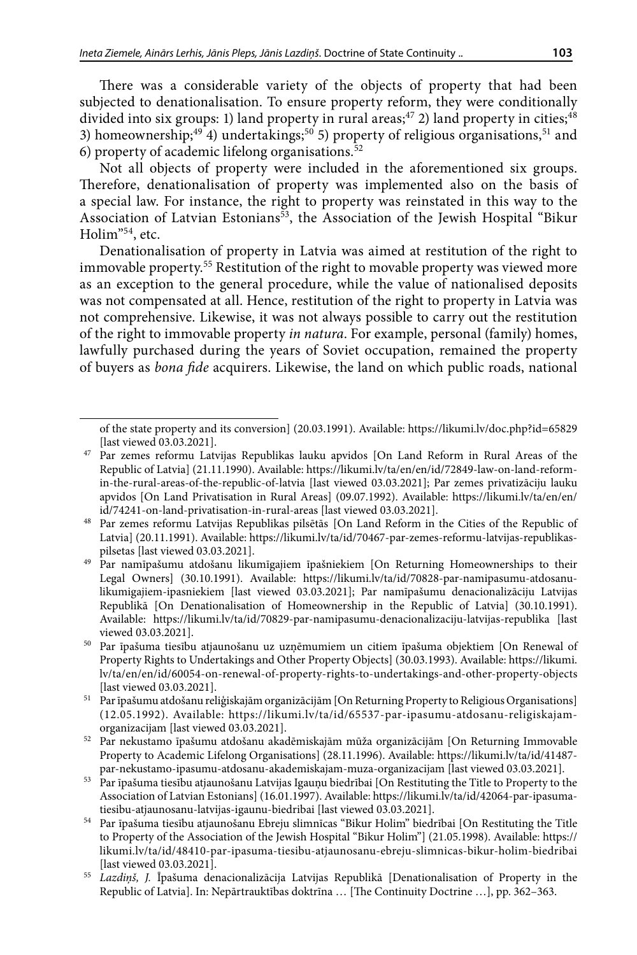There was a considerable variety of the objects of property that had been subjected to denationalisation. To ensure property reform, they were conditionally divided into six groups: 1) land property in rural areas;<sup>47</sup> 2) land property in cities;<sup>48</sup> 3) homeownership;<sup>49</sup> 4) undertakings;<sup>50</sup> 5) property of religious organisations,<sup>51</sup> and 6) property of academic lifelong organisations. $52$ 

Not all objects of property were included in the aforementioned six groups. Therefore, denationalisation of property was implemented also on the basis of a special law. For instance, the right to property was reinstated in this way to the Association of Latvian Estonians<sup>53</sup>, the Association of the Jewish Hospital "Bikur Holim"54, etc.

Denationalisation of property in Latvia was aimed at restitution of the right to immovable property.55 Restitution of the right to movable property was viewed more as an exception to the general procedure, while the value of nationalised deposits was not compensated at all. Hence, restitution of the right to property in Latvia was not comprehensive. Likewise, it was not always possible to carry out the restitution of the right to immovable property *in natura*. For example, personal (family) homes, lawfully purchased during the years of Soviet occupation, remained the property of buyers as *bona fide* acquirers. Likewise, the land on which public roads, national

of the state property and its conversion] (20.03.1991). Available:<https://likumi.lv/doc.php?id=65829> [last viewed 03.03.2021].

<sup>47</sup> Par zemes reformu Latvijas Republikas lauku apvidos [On Land Reform in Rural Areas of the Republic of Latvia] (21.11.1990). Available: https://likumi.lv/ta/en/en/id/72849-law-on-land-reformin-the-rural-areas-of-the-republic-of-latvia [last viewed 03.03.2021]; Par zemes privatizāciju lauku apvidos [On Land Privatisation in Rural Areas] (09.07.1992). Available: https://likumi.lv/ta/en/en/ id/74241-on-land-privatisation-in-rural-areas [last viewed 03.03.2021].

<sup>48</sup> Par zemes reformu Latvijas Republikas pilsētās [On Land Reform in the Cities of the Republic of Latvia] (20.11.1991). Available: https://likumi.lv/ta/id/70467-par-zemes-reformu-latvijas-republikaspilsetas [last viewed 03.03.2021].

<sup>49</sup> Par namīpašumu atdošanu likumīgajiem īpašniekiem [On Returning Homeownerships to their Legal Owners] (30.10.1991). Available: https://likumi.lv/ta/id/70828-par-namipasumu-atdosanulikumigajiem-ipasniekiem [last viewed 03.03.2021]; Par namīpašumu denacionalizāciju Latvijas Republikā [On Denationalisation of Homeownership in the Republic of Latvia] (30.10.1991). Available: https://likumi.lv/ta/id/70829-par-namipasumu-denacionalizaciju-latvijas-republika [last viewed 03.03.2021].

<sup>50</sup> Par īpašuma tiesību atjaunošanu uz uzņēmumiem un citiem īpašuma objektiem [On Renewal of Property Rights to Undertakings and Other Property Objects] (30.03.1993). Available: https://likumi. lv/ta/en/en/id/60054-on-renewal-of-property-rights-to-undertakings-and-other-property-objects [last viewed 03.03.2021].

 $^{\rm 51}~$  Par īpašumu atdošanu reliģiskajām organizācijām [On Returning Property to Religious Organisations] (12.05.1992). Available: https://likumi.lv/ta/id/65537-par-ipasumu-atdosanu-religiskajamorganizacijam [last viewed 03.03.2021].

 $52\,\,$  Par nekustamo īpašumu atdošanu akadēmiskajām mūža organizācijām [On Returning Immovable Property to Academic Lifelong Organisations] (28.11.1996). Available: https://likumi.lv/ta/id/41487 par-nekustamo-ipasumu-atdosanu-akademiskajam-muza-organizacijam [last viewed 03.03.2021].

<sup>53</sup> Par īpašuma tiesību atjaunošanu Latvijas Igauņu biedrībai [On Restituting the Title to Property to the Association of Latvian Estonians] (16.01.1997). Available: https://likumi.lv/ta/id/42064-par-ipasumatiesibu-atjaunosanu-latvijas-igaunu-biedribai [last viewed 03.03.2021].

<sup>54</sup> Par īpašuma tiesību atjaunošanu Ebreju slimnīcas "Bikur Holim" biedrībai [On Restituting the Title to Property of the Association of the Jewish Hospital "Bikur Holim"] (21.05.1998). Available: https:// likumi.lv/ta/id/48410-par-ipasuma-tiesibu-atjaunosanu-ebreju-slimnicas-bikur-holim-biedribai [last viewed 03.03.2021]. 55 *Lazdiņš, J.* Īpašuma denacionalizācija Latvijas Republikā [Denationalisation of Property in the

Republic of Latvia]. In: Nepārtrauktības doktrīna … [The Continuity Doctrine …], pp. 362–363.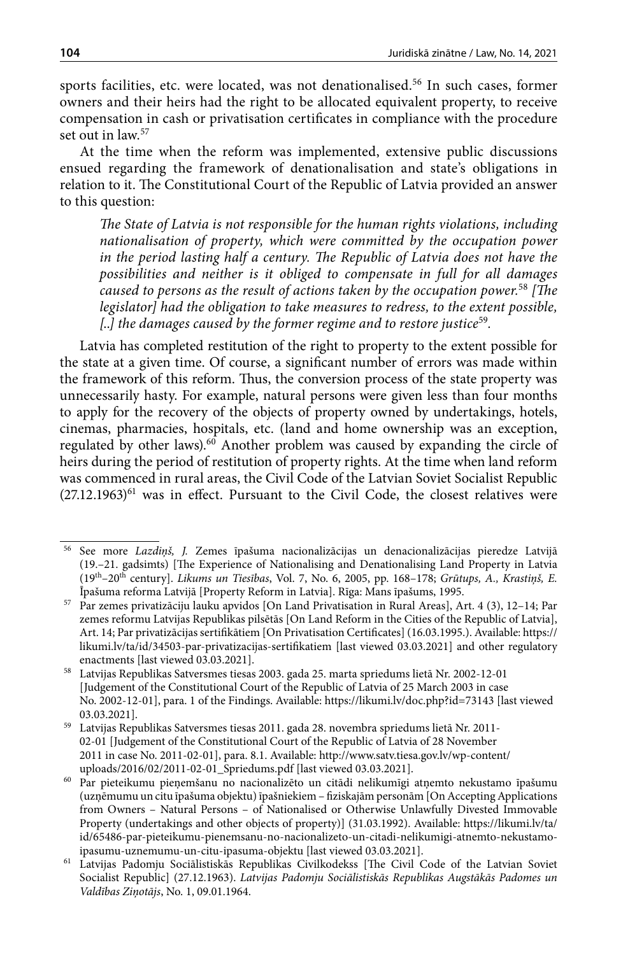sports facilities, etc. were located, was not denationalised.56 In such cases, former owners and their heirs had the right to be allocated equivalent property, to receive compensation in cash or privatisation certificates in compliance with the procedure set out in law.<sup>57</sup>

At the time when the reform was implemented, extensive public discussions ensued regarding the framework of denationalisation and state's obligations in relation to it. The Constitutional Court of the Republic of Latvia provided an answer to this question:

*The State of Latvia is not responsible for the human rights violations, including nationalisation of property, which were committed by the occupation power*  in the period lasting half a century. The Republic of Latvia does not have the *possibilities and neither is it obliged to compensate in full for all damages caused to persons as the result of actions taken by the occupation power.*<sup>58</sup> *[The legislator] had the obligation to take measures to redress, to the extent possible, [*..*] the damages caused by the former regime and to restore justice*<sup>59</sup>*.*

Latvia has completed restitution of the right to property to the extent possible for the state at a given time. Of course, a significant number of errors was made within the framework of this reform. Thus, the conversion process of the state property was unnecessarily hasty. For example, natural persons were given less than four months to apply for the recovery of the objects of property owned by undertakings, hotels, cinemas, pharmacies, hospitals, etc. (land and home ownership was an exception, regulated by other laws).<sup>60</sup> Another problem was caused by expanding the circle of heirs during the period of restitution of property rights. At the time when land reform was commenced in rural areas, the Civil Code of the Latvian Soviet Socialist Republic  $(27.12.1963)^{61}$  was in effect. Pursuant to the Civil Code, the closest relatives were

<sup>56</sup> See more *Lazdiņš, J.* Zemes īpašuma nacionalizācijas un denacionalizācijas pieredze Latvijā (19.–21. gadsimts) [The Experience of Nationalising and Denationalising Land Property in Latvia (19th–20th century]. *Likums un Tiesības*, Vol. 7, No. 6, 2005, pp. 168–178; *Grūtups, A., Krastiņš, E.*

Īpašuma reforma Latvijā [Property Reform in Latvia]. Rīga: Mans īpašums, 1995.<br><sup>57</sup> Par zemes privatizāciju lauku apvidos [On Land Privatisation in Rural Areas], Art. 4 (3), 12–14; Par zemes reformu Latvijas Republikas pilsētās [On Land Reform in the Cities of the Republic of Latvia], Art. 14; Par privatizācijas sertifikātiem [On Privatisation Certificates] (16.03.1995.). Available: [https://](https://likumi.lv/ta/id/34503-par-privatizacijas-sertifikatiem) [likumi.lv/ta/id/34503-par-privatizacijas-sertifikatiem](https://likumi.lv/ta/id/34503-par-privatizacijas-sertifikatiem) [last viewed 03.03.2021] and other regulatory enactments [last viewed 03.03.2021].

<sup>58</sup> Latvijas Republikas Satversmes tiesas 2003. gada 25. marta spriedums lietā Nr. 2002-12-01 [Judgement of the Constitutional Court of the Republic of Latvia of 25 March 2003 in case No. 2002-12-01], para. 1 of the Findings. Available: https://likumi.lv/doc.php?id=73143 [last viewed 03.03.2021].

 $^{\rm 59}$  Latvijas Republikas Satversmes tiesas 2011. gada 28. novembra spriedums lietā Nr. 2011-02-01 [Judgement of the Constitutional Court of the Republic of Latvia of 28 November 2011 in case No. 2011-02-01], para. 8.1. Available: http://www.satv.tiesa.gov.lv/wp-content/ uploads/2016/02/2011-02-01\_Spriedums.pdf [last viewed 03.03.2021].

<sup>60</sup> Par pieteikumu pieņemšanu no nacionalizēto un citādi nelikumīgi atņemto nekustamo īpašumu (uzņēmumu un citu īpašuma objektu) īpašniekiem – fiziskajām personām [On Accepting Applications from Owners – Natural Persons – of Nationalised or Otherwise Unlawfully Divested Immovable Property (undertakings and other objects of property)] (31.03.1992). Available: https://likumi.lv/ta/ id/65486-par-pieteikumu-pienemsanu-no-nacionalizeto-un-citadi-nelikumigi-atnemto-nekustamoipasumu-uznemumu-un-citu-ipasuma-objektu [last viewed 03.03.2021].

<sup>61</sup> Latvijas Padomju Sociālistiskās Republikas Civilkodekss [The Civil Code of the Latvian Soviet Socialist Republic] (27.12.1963). *Latvijas Padomju Sociālistiskās Republikas Augstākās Padomes un Valdības Ziņotājs*, No. 1, 09.01.1964.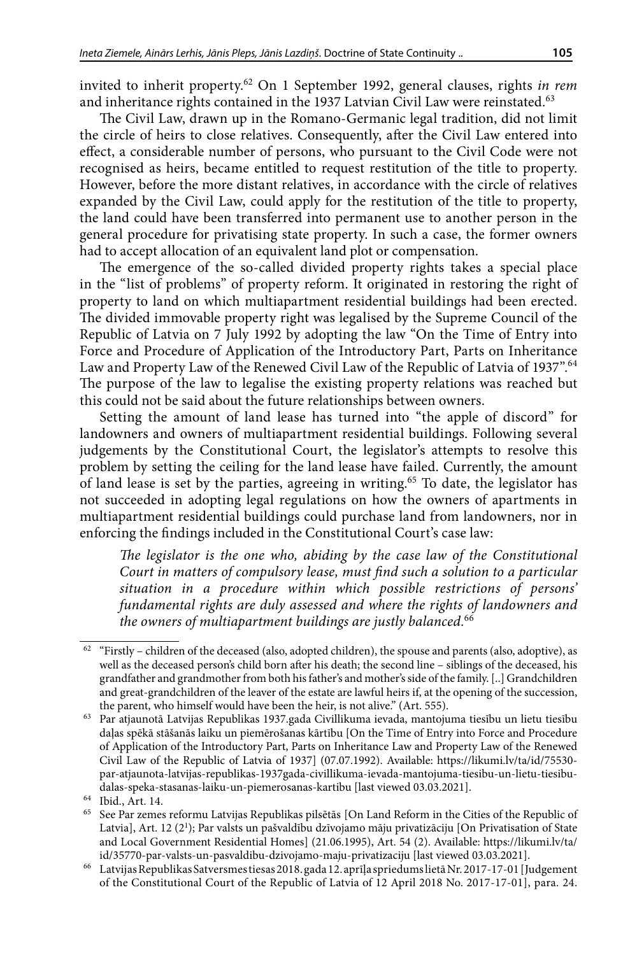invited to inherit property.62 On 1 September 1992, general clauses, rights *in rem* and inheritance rights contained in the 1937 Latvian Civil Law were reinstated.<sup>63</sup>

The Civil Law, drawn up in the Romano-Germanic legal tradition, did not limit the circle of heirs to close relatives. Consequently, after the Civil Law entered into effect, a considerable number of persons, who pursuant to the Civil Code were not recognised as heirs, became entitled to request restitution of the title to property. However, before the more distant relatives, in accordance with the circle of relatives expanded by the Civil Law, could apply for the restitution of the title to property, the land could have been transferred into permanent use to another person in the general procedure for privatising state property. In such a case, the former owners had to accept allocation of an equivalent land plot or compensation.

The emergence of the so-called divided property rights takes a special place in the "list of problems" of property reform. It originated in restoring the right of property to land on which multiapartment residential buildings had been erected. The divided immovable property right was legalised by the Supreme Council of the Republic of Latvia on 7 July 1992 by adopting the law "On the Time of Entry into Force and Procedure of Application of the Introductory Part, Parts on Inheritance Law and Property Law of the Renewed Civil Law of the Republic of Latvia of 1937".64 The purpose of the law to legalise the existing property relations was reached but this could not be said about the future relationships between owners.

Setting the amount of land lease has turned into "the apple of discord" for landowners and owners of multiapartment residential buildings. Following several judgements by the Constitutional Court, the legislator's attempts to resolve this problem by setting the ceiling for the land lease have failed. Currently, the amount of land lease is set by the parties, agreeing in writing.65 To date, the legislator has not succeeded in adopting legal regulations on how the owners of apartments in multiapartment residential buildings could purchase land from landowners, nor in enforcing the findings included in the Constitutional Court's case law:

*The legislator is the one who, abiding by the case law of the Constitutional Court in matters of compulsory lease, must find such a solution to a particular situation in a procedure within which possible restrictions of persons' fundamental rights are duly assessed and where the rights of landowners and the owners of multiapartment buildings are justly balanced.*<sup>66</sup>

 $^{62}$  "Firstly – children of the deceased (also, adopted children), the spouse and parents (also, adoptive), as well as the deceased person's child born after his death; the second line – siblings of the deceased, his grandfather and grandmother from both his father's and mother's side of the family. [..] Grandchildren and great-grandchildren of the leaver of the estate are lawful heirs if, at the opening of the succession, the parent, who himself would have been the heir, is not alive." (Art. 555).

<sup>63</sup> Par atjaunotā Latvijas Republikas 1937.gada [Civillikuma](https://likumi.lv/ta/id/225418-civillikums) ievada, mantojuma tiesību un lietu tiesību daļas spēkā stāšanās laiku un piemērošanas kārtību [On the Time of Entry into Force and Procedure of Application of the Introductory Part, Parts on Inheritance Law and Property Law of the Renewed Civil Law of the Republic of Latvia of 1937] (07.07.1992). Available: [https://likumi.lv/ta/id/75530](https://likumi.lv/ta/id/75530-par-atjaunota-latvijas-republikas-1937gada-civillikuma-ievada-mantojuma-tiesibu-un-lietu-tiesibu-dalas-speka-stasanas-laiku-un-piemerosanas-kartibu) [par-atjaunota-latvijas-republikas-1937gada-civillikuma-ievada-mantojuma-tiesibu-un-lietu-tiesibu](https://likumi.lv/ta/id/75530-par-atjaunota-latvijas-republikas-1937gada-civillikuma-ievada-mantojuma-tiesibu-un-lietu-tiesibu-dalas-speka-stasanas-laiku-un-piemerosanas-kartibu)[dalas-speka-stasanas-laiku-un-piemerosanas-kartibu](https://likumi.lv/ta/id/75530-par-atjaunota-latvijas-republikas-1937gada-civillikuma-ievada-mantojuma-tiesibu-un-lietu-tiesibu-dalas-speka-stasanas-laiku-un-piemerosanas-kartibu) [last viewed 03.03.2021].  $\,^{64}$  Ibid., Art. 14.

<sup>&</sup>lt;sup>65</sup> See Par zemes reformu Latvijas Republikas pilsētās [On Land Reform in the Cities of the Republic of Latvia], Art. 12 (2<sup>1</sup>); Par valsts un pašvaldību dzīvojamo māju privatizāciju [On Privatisation of State and Local Government Residential Homes] (21.06.1995), Art. 54 (2). Available: https://likumi.lv/ta/ id/35770-par-valsts-un-pasvaldibu-dzivojamo-maju-privatizaciju [last viewed 03.03.2021].

<sup>66</sup> Latvijas Republikas Satversmes tiesas 2018. gada 12. aprīļa spriedums lietā Nr. 2017-17-01 [Judgement of the Constitutional Court of the Republic of Latvia of 12 April 2018 No. 2017-17-01], para. 24.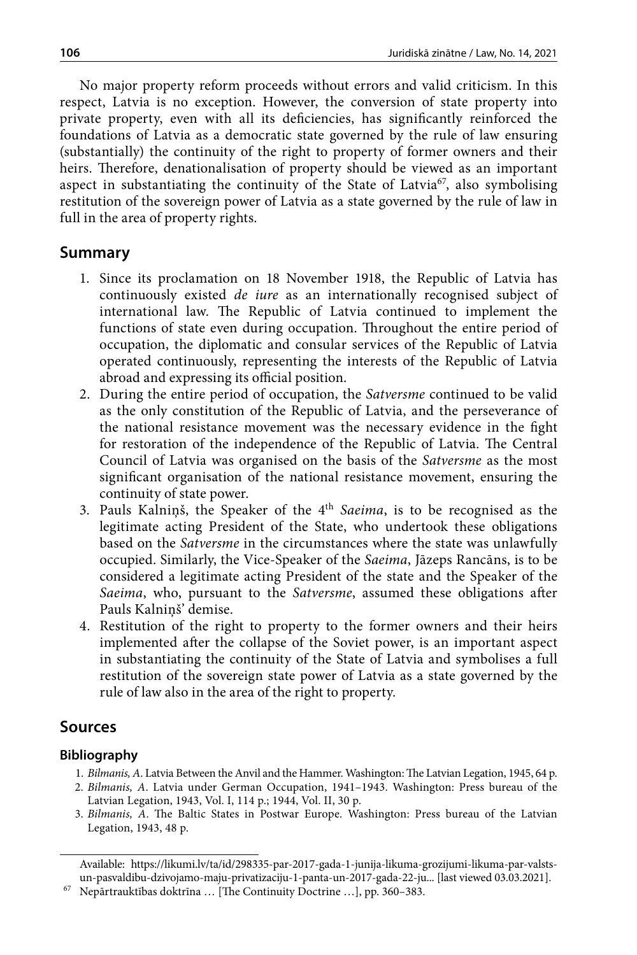No major property reform proceeds without errors and valid criticism. In this respect, Latvia is no exception. However, the conversion of state property into private property, even with all its deficiencies, has significantly reinforced the foundations of Latvia as a democratic state governed by the rule of law ensuring (substantially) the continuity of the right to property of former owners and their heirs. Therefore, denationalisation of property should be viewed as an important aspect in substantiating the continuity of the State of Latvia<sup>67</sup>, also symbolising restitution of the sovereign power of Latvia as a state governed by the rule of law in full in the area of property rights.

## **Summary**

- 1. Since its proclamation on 18 November 1918, the Republic of Latvia has continuously existed *de iure* as an internationally recognised subject of international law. The Republic of Latvia continued to implement the functions of state even during occupation. Throughout the entire period of occupation, the diplomatic and consular services of the Republic of Latvia operated continuously, representing the interests of the Republic of Latvia abroad and expressing its official position.
- 2. During the entire period of occupation, the *Satversme* continued to be valid as the only constitution of the Republic of Latvia, and the perseverance of the national resistance movement was the necessary evidence in the fight for restoration of the independence of the Republic of Latvia. The Central Council of Latvia was organised on the basis of the *Satversme* as the most significant organisation of the national resistance movement, ensuring the continuity of state power.
- 3. Pauls Kalniņš, the Speaker of the 4th *Saeima*, is to be recognised as the legitimate acting President of the State, who undertook these obligations based on the *Satversme* in the circumstances where the state was unlawfully occupied. Similarly, the Vice-Speaker of the *Saeima*, Jāzeps Rancāns, is to be considered a legitimate acting President of the state and the Speaker of the *Saeima*, who, pursuant to the *Satversme*, assumed these obligations after Pauls Kalniņš' demise.
- 4. Restitution of the right to property to the former owners and their heirs implemented after the collapse of the Soviet power, is an important aspect in substantiating the continuity of the State of Latvia and symbolises a full restitution of the sovereign state power of Latvia as a state governed by the rule of law also in the area of the right to property.

## **Sources**

### **Bibliography**

- 1. *Bilmanis, A*. Latvia Between the Anvil and the Hammer. Washington: The Latvian Legation, 1945, 64 p.
- 2. *Bilmanis, A*. Latvia under German Occupation, 1941–1943. Washington: Press bureau of the Latvian Legation, 1943, Vol. I, 114 p.; 1944, Vol. II, 30 p.
- 3. *Bilmanis, A*. The Baltic States in Postwar Europe. Washington: Press bureau of the Latvian Legation, 1943, 48 p.

Available: https://likumi.lv/ta/id/298335-par-2017-gada-1-junija-likuma-grozijumi-likuma-par-valstsun-pasvaldibu-dzivojamo-maju-privatizaciju-1-panta-un-2017-gada-22-ju... [last viewed 03.03.2021].

<sup>67</sup> Nepārtrauktības doktrīna … [The Continuity Doctrine …], pp. 360–383.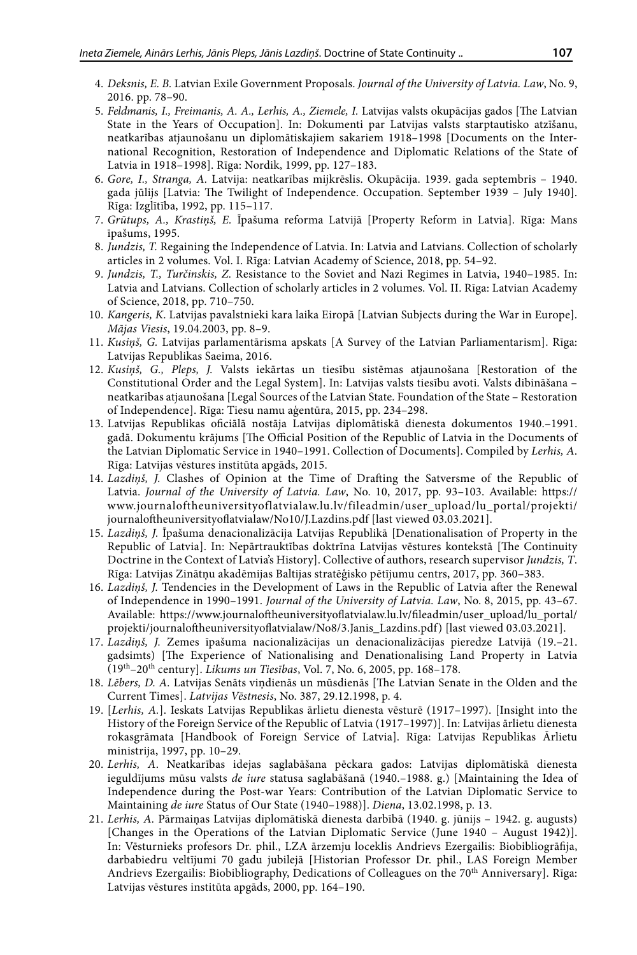- 4. *Deksnis, E. B.* Latvian Exile Government Proposals. *Journal of the University of Latvia. Law*, No. 9, 2016. pp. 78–90.
- 5. *Feldmanis, I., Freimanis, A. A., Lerhis, A., Ziemele, I.* Latvijas valsts okupācijas gados [The Latvian State in the Years of Occupation]. In: Dokumenti par Latvijas valsts starptautisko atzīšanu, neatkarības atjaunošanu un diplomātiskajiem sakariem 1918–1998 [Documents on the International Recognition, Restoration of Independence and Diplomatic Relations of the State of Latvia in 1918–1998]. Rīga: Nordik, 1999, pp. 127–183.
- 6. *Gore, I., Stranga, A.* Latvija: neatkarības mijkrēslis. Okupācija. 1939. gada septembris 1940. gada jūlijs [Latvia: The Twilight of Independence. Occupation. September 1939 – July 1940]. Rīga: Izglītība, 1992, pp. 115–117.
- 7. *Grūtups, A., Krastiņš, E.* Īpašuma reforma Latvijā [Property Reform in Latvia]. Rīga: Mans īpašums, 1995.
- 8. *Jundzis, T.* Regaining the Independence of Latvia. In: Latvia and Latvians. Collection of scholarly articles in 2 volumes. Vol. I. Rīga: Latvian Academy of Science, 2018, pp. 54–92.
- 9. *Jundzis, T., Turčinskis, Z.* Resistance to the Soviet and Nazi Regimes in Latvia, 1940–1985. In: Latvia and Latvians. Collection of scholarly articles in 2 volumes. Vol. II. Rīga: Latvian Academy of Science, 2018, pp. 710–750.
- 10. *Kangeris, K*. Latvijas pavalstnieki kara laika Eiropā [Latvian Subjects during the War in Europe]. *Mājas Viesis*, 19.04.2003, pp. 8–9.
- 11. *Kusiņš, G.* Latvijas parlamentārisma apskats [A Survey of the Latvian Parliamentarism]. Rīga: Latvijas Republikas Saeima, 2016.
- 12. *Kusiņš, G., Pleps, J.* Valsts iekārtas un tiesību sistēmas atjaunošana [Restoration of the Constitutional Order and the Legal System]. In: Latvijas valsts tiesību avoti. Valsts dibināšana – neatkarības atjaunošana [Legal Sources of the Latvian State. Foundation of the State – Restoration of Independence]. Rīga: Tiesu namu aģentūra, 2015, pp. 234–298.
- 13. Latvijas Republikas oficiālā nostāja Latvijas diplomātiskā dienesta dokumentos 1940.–1991. gadā. Dokumentu krājums [The Official Position of the Republic of Latvia in the Documents of the Latvian Diplomatic Service in 1940–1991. Collection of Documents]. Compiled by *Lerhis, A*. Rīga: Latvijas vēstures institūta apgāds, 2015.
- 14. *Lazdiņš, J.* Clashes of Opinion at the Time of Drafting the Satversme of the Republic of Latvia. *Journal of the University of Latvia. Law*, No. 10, 2017, pp. 93–103. Available: [https://](https://www.journaloftheuniversityoflatvialaw.lu.lv/fileadmin/user_upload/lu_portal/projekti/journaloftheuniversityoflatvialaw/No10/J.Lazdins.pdf) [www.journaloftheuniversityoflatvialaw.lu.lv/fileadmin/user\\_upload/lu\\_portal/projekti/](https://www.journaloftheuniversityoflatvialaw.lu.lv/fileadmin/user_upload/lu_portal/projekti/journaloftheuniversityoflatvialaw/No10/J.Lazdins.pdf) [journaloftheuniversityoflatvialaw/No10/J.Lazdins.pdf](https://www.journaloftheuniversityoflatvialaw.lu.lv/fileadmin/user_upload/lu_portal/projekti/journaloftheuniversityoflatvialaw/No10/J.Lazdins.pdf) [last viewed 03.03.2021].
- 15. *Lazdiņš, J.* Īpašuma denacionalizācija Latvijas Republikā [Denationalisation of Property in the Republic of Latvia]. In: Nepārtrauktības doktrīna Latvijas vēstures kontekstā [The Continuity Doctrine in the Context of Latvia's History]. Collective of authors, research supervisor *Jundzis, T*. Rīga: Latvijas Zinātņu akadēmijas Baltijas stratēģisko pētījumu centrs, 2017, pp. 360–383.
- 16. *Lazdiņš, J.* Tendencies in the Development of Laws in the Republic of Latvia after the Renewal of Independence in 1990–1991. *Journal of the University of Latvia. Law*, No. 8, 2015, pp. 43–67. Available: [https://www.journaloftheuniversityoflatvialaw.lu.lv/fileadmin/user\\_upload/lu\\_portal/](https://www.journaloftheuniversityoflatvialaw.lu.lv/fileadmin/user_upload/lu_portal/projekti/journaloftheuniversityoflatvialaw/No8/3.Janis_Lazdins.pdf) [projekti/journaloftheuniversityoflatvialaw/No8/3.Janis\\_Lazdins.pdf\)](https://www.journaloftheuniversityoflatvialaw.lu.lv/fileadmin/user_upload/lu_portal/projekti/journaloftheuniversityoflatvialaw/No8/3.Janis_Lazdins.pdf) [last viewed 03.03.2021].
- 17. *Lazdiņš, J.* Zemes īpašuma nacionalizācijas un denacionalizācijas pieredze Latvijā (19.–21. gadsimts) [The Experience of Nationalising and Denationalising Land Property in Latvia (19th–20th century]. *Likums un Tiesības*, Vol. 7, No. 6, 2005, pp. 168–178.
- 18. *Lēbers, D. A.* Latvijas Senāts viņdienās un mūsdienās [The Latvian Senate in the Olden and the Current Times]. *Latvijas Vēstnesis*, No. 387, 29.12.1998, p. 4.
- 19. [*Lerhis, A.*]. Ieskats Latvijas Republikas ārlietu dienesta vēsturē (1917–1997). [Insight into the History of the Foreign Service of the Republic of Latvia (1917–1997)]. In: Latvijas ārlietu dienesta rokasgrāmata [Handbook of Foreign Service of Latvia]. Rīga: Latvijas Republikas Ārlietu ministrija, 1997, pp. 10–29.
- 20. *Lerhis, A*. Neatkarības idejas saglabāšana pēckara gados: Latvijas diplomātiskā dienesta ieguldījums mūsu valsts *de iure* statusa saglabāšanā (1940.–1988. g.) [Maintaining the Idea of Independence during the Post-war Years: Contribution of the Latvian Diplomatic Service to Maintaining *de iure* Status of Our State (1940–1988)]. *Diena*, 13.02.1998, p. 13.
- 21. *Lerhis, A.* Pārmaiņas Latvijas diplomātiskā dienesta darbībā (1940. g. jūnijs 1942. g. augusts) [Changes in the Operations of the Latvian Diplomatic Service (June 1940 – August 1942)]. In: Vēsturnieks profesors Dr. phil., LZA ārzemju loceklis Andrievs Ezergailis: Biobibliogrāfija, darbabiedru veltījumi 70 gadu jubilejā [Historian Professor Dr. phil., LAS Foreign Member Andrievs Ezergailis: Biobibliography, Dedications of Colleagues on the 70<sup>th</sup> Anniversary]. Rīga: Latvijas vēstures institūta apgāds, 2000, pp. 164–190.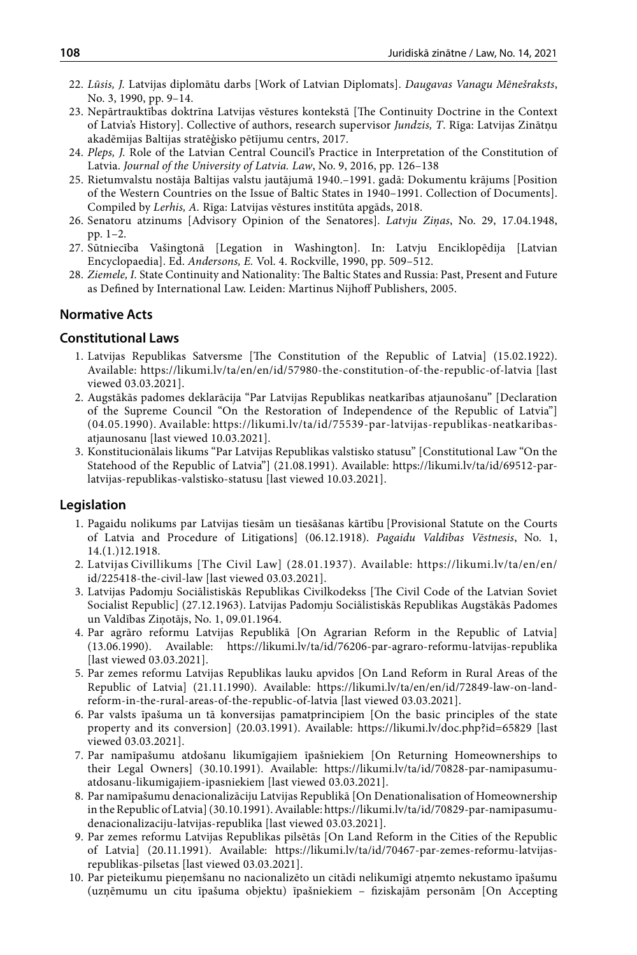- 22. *Lūsis, J.* Latvijas diplomātu darbs [Work of Latvian Diplomats]. *Daugavas Vanagu Mēnešraksts*, No. 3, 1990, pp. 9–14.
- 23. Nepārtrauktības doktrīna Latvijas vēstures kontekstā [The Continuity Doctrine in the Context of Latvia's History]. Collective of authors, research supervisor *Jundzis, T*. Rīga: Latvijas Zinātņu akadēmijas Baltijas stratēģisko pētījumu centrs, 2017.
- 24. *Pleps, J.* Role of the Latvian Central Council's Practice in Interpretation of the Constitution of Latvia. *Journal of the University of Latvia. Law*, No. 9, 2016, pp. 126–138
- 25. Rietumvalstu nostāja Baltijas valstu jautājumā 1940.–1991. gadā: Dokumentu krājums [Position of the Western Countries on the Issue of Baltic States in 1940–1991. Collection of Documents]. Compiled by *Lerhis, A.* Rīga: Latvijas vēstures institūta apgāds, 2018.
- 26. Senatoru atzinums [Advisory Opinion of the Senatores]. *Latvju Ziņas*, No. 29, 17.04.1948, pp. 1–2.
- 27. Sūtniecība Vašingtonā [Legation in Washington]. In: Latvju Enciklopēdija [Latvian Encyclopaedia]. Ed. *Andersons, E.* Vol. 4. Rockville, 1990, pp. 509–512.
- 28. *Ziemele*, I. State Continuity and Nationality: The Baltic States and Russia: Past, Present and Future as Defined by International Law. Leiden: Martinus Nijhoff Publishers, 2005.

#### **Normative Acts**

#### **Constitutional Laws**

- 1. Latvijas Republikas Satversme [The Constitution of the Republic of Latvia] (15.02.1922). Available: <https://likumi.lv/ta/en/en/id/57980-the-constitution-of-the-republic-of-latvia>[last viewed 03.03.2021].
- 2. Augstākās padomes deklarācija "Par Latvijas Republikas neatkarības atjaunošanu" [Declaration of the Supreme Council "On the Restoration of Independence of the Republic of Latvia"] (04.05.1990). Available: https://likumi.lv/ta/id/75539-par-latvijas-republikas-neatkaribasatjaunosanu [last viewed 10.03.2021].
- 3. Konstitucionālais likums "Par Latvijas Republikas valstisko statusu" [Constitutional Law "On the Statehood of the Republic of Latvia"] (21.08.1991). Available: [https://likumi.lv/ta/id/69512-par](https://likumi.lv/ta/id/69512-par-latvijas-republikas-valstisko-statusu)[latvijas-republikas-valstisko-statusu](https://likumi.lv/ta/id/69512-par-latvijas-republikas-valstisko-statusu) [last viewed 10.03.2021].

#### **Legislation**

- 1. Pagaidu nolikums par Latvijas tiesām un tiesāšanas kārtību [Provisional Statute on the Courts of Latvia and Procedure of Litigations] (06.12.1918). *Pagaidu Valdības Vēstnesis*, No. 1, 14.(1.)12.1918.
- 2. Latvijas Civillikums [The Civil Law] (28.01.1937). Available: [https://likumi.lv/ta/en/en/](https://likumi.lv/ta/en/en/id/225418-the-civil-law) [id/225418-the-civil-law](https://likumi.lv/ta/en/en/id/225418-the-civil-law) [last viewed 03.03.2021].
- 3. Latvijas Padomju Sociālistiskās Republikas Civilkodekss [The Civil Code of the Latvian Soviet Socialist Republic] (27.12.1963). Latvijas Padomju Sociālistiskās Republikas Augstākās Padomes un Valdības Ziņotājs, No. 1, 09.01.1964.
- 4. Par agrāro reformu Latvijas Republikā [On Agrarian Reform in the Republic of Latvia] (13.06.1990). Available: <https://likumi.lv/ta/id/76206-par-agraro-reformu-latvijas-republika> [last viewed 03.03.2021].
- 5. Par zemes reformu Latvijas Republikas lauku apvidos [On Land Reform in Rural Areas of the Republic of Latvia] (21.11.1990). Available: https://likumi.lv/ta/en/en/id/72849-law-on-landreform-in-the-rural-areas-of-the-republic-of-latvia [last viewed 03.03.2021].
- 6. Par valsts īpašuma un tā konversijas pamatprincipiem [On the basic principles of the state property and its conversion] (20.03.1991). Available: <https://likumi.lv/doc.php?id=65829>[last viewed 03.03.2021].
- 7. Par namīpašumu atdošanu likumīgajiem īpašniekiem [On Returning Homeownerships to their Legal Owners] (30.10.1991). Available: https://likumi.lv/ta/id/70828-par-namipasumuatdosanu-likumigajiem-ipasniekiem [last viewed 03.03.2021].
- 8. Par namīpašumu denacionalizāciju Latvijas Republikā [On Denationalisation of Homeownership in the Republic of Latvia] (30.10.1991). Available: https://likumi.lv/ta/id/70829-par-namipasumudenacionalizaciju-latvijas-republika [last viewed 03.03.2021].
- 9. Par zemes reformu Latvijas Republikas pilsētās [On Land Reform in the Cities of the Republic of Latvia] (20.11.1991). Available: https://likumi.lv/ta/id/70467-par-zemes-reformu-latvijasrepublikas-pilsetas [last viewed 03.03.2021].
- 10. Par pieteikumu pieņemšanu no nacionalizēto un citādi nelikumīgi atņemto nekustamo īpašumu (uzņēmumu un citu īpašuma objektu) īpašniekiem – fiziskajām personām [On Accepting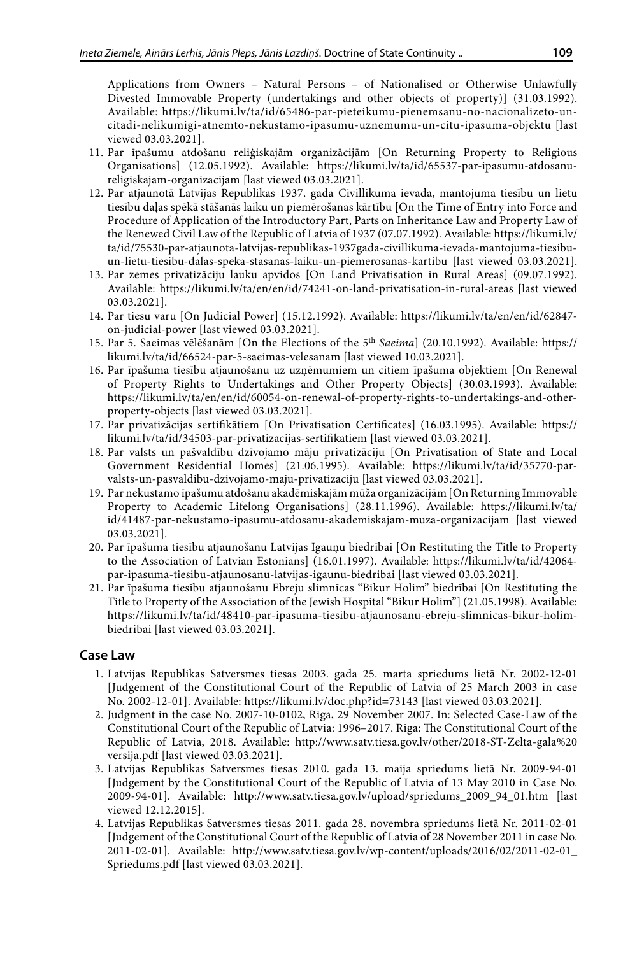Applications from Owners – Natural Persons – of Nationalised or Otherwise Unlawfully Divested Immovable Property (undertakings and other objects of property)] (31.03.1992). Available: https://likumi.lv/ta/id/65486-par-pieteikumu-pienemsanu-no-nacionalizeto-uncitadi-nelikumigi-atnemto-nekustamo-ipasumu-uznemumu-un-citu-ipasuma-objektu [last viewed 03.03.2021].

- 11. Par īpašumu atdošanu reliģiskajām organizācijām [On Returning Property to Religious Organisations] (12.05.1992). Available: https://likumi.lv/ta/id/65537-par-ipasumu-atdosanureligiskajam-organizacijam [last viewed 03.03.2021].
- 12. Par atjaunotā Latvijas Republikas 1937. gada  [Civillikuma](https://likumi.lv/ta/id/225418-civillikums) ievada, mantojuma tiesību un lietu tiesību daļas spēkā stāšanās laiku un piemērošanas kārtību **[**On the Time of Entry into Force and Procedure of Application of the Introductory Part, Parts on Inheritance Law and Property Law of the Renewed Civil Law of the Republic of Latvia of 1937 (07.07.1992). Available: [https://likumi.lv/](https://likumi.lv/ta/id/75530-par-atjaunota-latvijas-republikas-1937gada-civillikuma-ievada-mantojuma-tiesibu-un-lietu-tiesibu-dalas-speka-stasanas-laiku-un-piemerosanas-kartibu) [ta/id/75530-par-atjaunota-latvijas-republikas-1937gada-civillikuma-ievada-mantojuma-tiesibu](https://likumi.lv/ta/id/75530-par-atjaunota-latvijas-republikas-1937gada-civillikuma-ievada-mantojuma-tiesibu-un-lietu-tiesibu-dalas-speka-stasanas-laiku-un-piemerosanas-kartibu)[un-lietu-tiesibu-dalas-speka-stasanas-laiku-un-piemerosanas-kartibu](https://likumi.lv/ta/id/75530-par-atjaunota-latvijas-republikas-1937gada-civillikuma-ievada-mantojuma-tiesibu-un-lietu-tiesibu-dalas-speka-stasanas-laiku-un-piemerosanas-kartibu) [last viewed 03.03.2021].
- 13. Par zemes privatizāciju lauku apvidos [On Land Privatisation in Rural Areas] (09.07.1992). Available: https://likumi.lv/ta/en/en/id/74241-on-land-privatisation-in-rural-areas [last viewed 03.03.2021].
- 14. Par tiesu varu [On Judicial Power] (15.12.1992). Available: [https://likumi.lv/ta/en/en/id/62847](https://likumi.lv/ta/en/en/id/62847-on-judicial-power) [on-judicial-power](https://likumi.lv/ta/en/en/id/62847-on-judicial-power) [last viewed 03.03.2021].
- 15. Par 5. Saeimas vēlēšanām [On the Elections of the 5th *Saeima*] (20.10.1992). Available: [https://](https://likumi.lv/ta/id/66524-par-5-saeimas-velesanam) [likumi.lv/ta/id/66524-par-5-saeimas-velesanam](https://likumi.lv/ta/id/66524-par-5-saeimas-velesanam) [last viewed 10.03.2021].
- 16. Par īpašuma tiesību atjaunošanu uz uzņēmumiem un citiem īpašuma objektiem [On Renewal of Property Rights to Undertakings and Other Property Objects] (30.03.1993). Available: https://likumi.lv/ta/en/en/id/60054-on-renewal-of-property-rights-to-undertakings-and-otherproperty-objects [last viewed 03.03.2021].
- 17. Par privatizācijas sertifikātiem [On Privatisation Certificates] (16.03.1995). Available: [https://](https://likumi.lv/ta/id/34503-par-privatizacijas-sertifikatiem) [likumi.lv/ta/id/34503-par-privatizacijas-sertifikatiem](https://likumi.lv/ta/id/34503-par-privatizacijas-sertifikatiem) [last viewed 03.03.2021].
- 18. Par valsts un pašvaldību dzīvojamo māju privatizāciju [On Privatisation of State and Local Government Residential Homes] (21.06.1995). Available: https://likumi.lv/ta/id/35770-parvalsts-un-pasvaldibu-dzivojamo-maju-privatizaciju [last viewed 03.03.2021].
- 19. Par nekustamo īpašumu atdošanu akadēmiskajām mūža organizācijām [On Returning Immovable Property to Academic Lifelong Organisations] (28.11.1996). Available: https://likumi.ly/ta/ id/41487-par-nekustamo-ipasumu-atdosanu-akademiskajam-muza-organizacijam [last viewed 03.03.2021].
- 20. Par īpašuma tiesību atjaunošanu Latvijas Igauņu biedrībai [On Restituting the Title to Property to the Association of Latvian Estonians] (16.01.1997). Available: https://likumi.lv/ta/id/42064 par-ipasuma-tiesibu-atjaunosanu-latvijas-igaunu-biedribai [last viewed 03.03.2021].
- 21. Par īpašuma tiesību atjaunošanu Ebreju slimnīcas "Bikur Holim" biedrībai [On Restituting the Title to Property of the Association of the Jewish Hospital "Bikur Holim"] (21.05.1998). Available: https://likumi.lv/ta/id/48410-par-ipasuma-tiesibu-atjaunosanu-ebreju-slimnicas-bikur-holimbiedribai [last viewed 03.03.2021].

#### **Case Law**

- 1. Latvijas Republikas Satversmes tiesas 2003. gada 25. marta spriedums lietā Nr. 2002-12-01 [Judgement of the Constitutional Court of the Republic of Latvia of 25 March 2003 in case No. 2002-12-01]. Available: <https://likumi.lv/doc.php?id=73143>[last viewed 03.03.2021].
- 2. Judgment in the case No. 2007-10-0102, Riga, 29 November 2007. In: Selected Case-Law of the Constitutional Court of the Republic of Latvia: 1996–2017. Riga: The Constitutional Court of the Republic of Latvia, 2018. Available: [http://www.satv.tiesa.gov.lv/other/2018-ST-Zelta-gala%20](http://www.satv.tiesa.gov.lv/other/2018-ST-Zelta-gala%20versija.pdf) [versija.pdf](http://www.satv.tiesa.gov.lv/other/2018-ST-Zelta-gala%20versija.pdf) [last viewed 03.03.2021].
- 3. Latvijas Republikas Satversmes tiesas 2010. gada 13. maija spriedums lietā Nr. 2009-94-01 [Judgement by the Constitutional Court of the Republic of Latvia of 13 May 2010 in Case No. 2009-94-01]. Available: [http://www.satv.tiesa.gov.lv/upload/spriedums\\_2009\\_94\\_01.htm](http://www.satv.tiesa.gov.lv/upload/spriedums_2009_94_01.htm) [last viewed 12.12.2015].
- 4. Latvijas Republikas Satversmes tiesas 2011. gada 28. novembra spriedums lietā Nr. 2011-02-01 [Judgement of the Constitutional Court of the Republic of Latvia of 28 November 2011 in case No. 2011-02-01]. Available: http://www.satv.tiesa.gov.lv/wp-content/uploads/2016/02/2011-02-01\_ Spriedums.pdf [last viewed 03.03.2021].